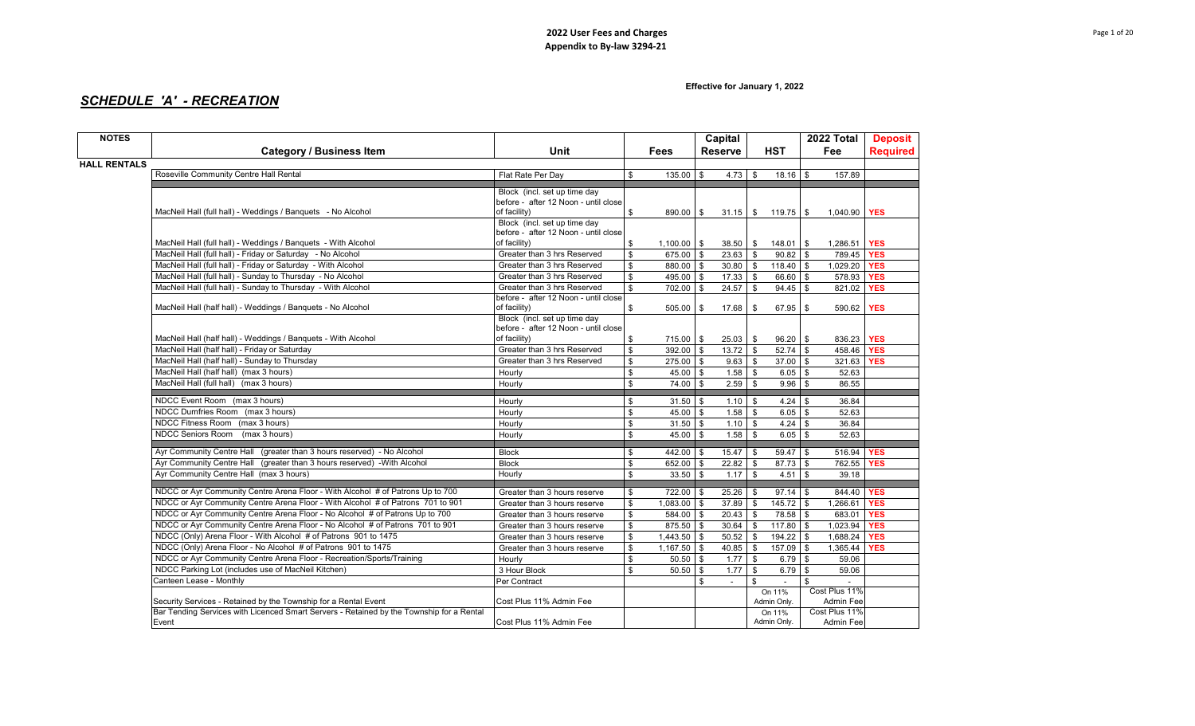**Effective for January 1, 2022**

# *SCHEDULE 'A' - RECREATION*

| <b>NOTES</b>        |                                                                                                                                                             |                                                      |              |                            | Capital              |                |                          | 2022 Total                 | <b>Deposit</b>  |
|---------------------|-------------------------------------------------------------------------------------------------------------------------------------------------------------|------------------------------------------------------|--------------|----------------------------|----------------------|----------------|--------------------------|----------------------------|-----------------|
|                     | <b>Category / Business Item</b>                                                                                                                             | Unit                                                 |              | Fees                       | <b>Reserve</b>       |                | <b>HST</b>               | Fee                        | <b>Required</b> |
| <b>HALL RENTALS</b> |                                                                                                                                                             |                                                      |              |                            |                      |                |                          |                            |                 |
|                     | Roseville Community Centre Hall Rental                                                                                                                      | Flat Rate Per Day                                    | \$           | $135.00$ \$                | $4.73$ \$            |                | $18.16$ \$               | 157.89                     |                 |
|                     |                                                                                                                                                             |                                                      |              |                            |                      |                |                          |                            |                 |
|                     |                                                                                                                                                             | Block (incl. set up time day                         |              |                            |                      |                |                          |                            |                 |
|                     | MacNeil Hall (full hall) - Weddings / Banquets - No Alcohol                                                                                                 | before - after 12 Noon - until close<br>of facility) | \$           | $890.00$ \$                |                      |                | $31.15$ \ \$ 119.75 \ \$ | 1,040.90 <b>YES</b>        |                 |
|                     |                                                                                                                                                             | Block (incl. set up time day                         |              |                            |                      |                |                          |                            |                 |
|                     |                                                                                                                                                             | before - after 12 Noon - until close                 |              |                            |                      |                |                          |                            |                 |
|                     | MacNeil Hall (full hall) - Weddings / Banquets - With Alcohol                                                                                               | of facility)                                         | \$           | $1,100.00$ \ \$            | $38.50$ \$           |                | $148.01$ \$              | 1,286.51                   | <b>YES</b>      |
|                     | MacNeil Hall (full hall) - Friday or Saturday - No Alcohol                                                                                                  | Greater than 3 hrs Reserved                          | \$           | $675.00$ \$                | 23.63                | $\mathfrak s$  | $90.82$ \$               | 789.45                     | <b>YES</b>      |
|                     | MacNeil Hall (full hall) - Friday or Saturday - With Alcohol                                                                                                | Greater than 3 hrs Reserved                          | \$           | 880.00 \$                  | $30.80$ \$           |                | $118.40$ \$              | 1,029.20                   | <b>YES</b>      |
|                     | MacNeil Hall (full hall) - Sunday to Thursday - No Alcohol                                                                                                  | Greater than 3 hrs Reserved                          | \$           | 495.00 \$                  | $17.33$ \$           |                | 66.60 \$                 | 578.93 <b>YES</b>          |                 |
|                     | MacNeil Hall (full hall) - Sunday to Thursday - With Alcohol                                                                                                | Greater than 3 hrs Reserved                          | $\mathbf{s}$ | 702.00 \$                  | 24.57                | $\mathfrak s$  | $94.45$ \$               | 821.02                     | <b>YES</b>      |
|                     |                                                                                                                                                             | before - after 12 Noon - until close                 |              |                            |                      |                |                          |                            |                 |
|                     | MacNeil Hall (half hall) - Weddings / Banquets - No Alcohol                                                                                                 | of facility)                                         | \$           | $505.00$ \$                | 17.68                | - \$           | 67.95 \$                 | 590.62                     | <b>YES</b>      |
|                     |                                                                                                                                                             | Block (incl. set up time day                         |              |                            |                      |                |                          |                            |                 |
|                     |                                                                                                                                                             | before - after 12 Noon - until close<br>of facility) |              |                            |                      |                |                          |                            |                 |
|                     | MacNeil Hall (half hall) - Weddings / Banquets - With Alcohol<br>MacNeil Hall (half hall) - Friday or Saturday                                              | Greater than 3 hrs Reserved                          | \$           | 715.00 \$                  | $25.03$ \$           |                | $96.20$ \$               | 836.23 YES                 |                 |
|                     | MacNeil Hall (half hall) - Sunday to Thursday                                                                                                               | Greater than 3 hrs Reserved                          | \$           | $392.00$ \$<br>$275.00$ \$ | $13.72$ \$<br>9.63   |                | $52.74$ \$<br>$37.00$ \$ | 458.46 YES                 | <b>YES</b>      |
|                     | MacNeil Hall (half hall) (max 3 hours)                                                                                                                      | Hourly                                               | \$<br>\$     | $45.00$ \$                 | $1.58$ \ \$          | \$             | $6.05$ \$                | 321.63<br>52.63            |                 |
|                     | MacNeil Hall (full hall) (max 3 hours)                                                                                                                      | Hourly                                               | \$           | $74.00$ \$                 | $2.59$ \$            |                | $9.96$ \$                | 86.55                      |                 |
|                     |                                                                                                                                                             |                                                      |              |                            |                      |                |                          |                            |                 |
|                     | NDCC Event Room (max 3 hours)                                                                                                                               | Hourly                                               | \$           | $31.50$ \$                 | $1.10$ \$            |                |                          | 36.84                      |                 |
|                     | NDCC Dumfries Room (max 3 hours)                                                                                                                            | Hourly                                               | \$           | $45.00$ \ \$               | $1.58$ \$            |                | $6.05$ \$                | 52.63                      |                 |
|                     | NDCC Fitness Room (max 3 hours)                                                                                                                             | Hourly                                               | \$           | $31.50$ \$                 | $1.10$ \$            |                | $4.24$ \$                | 36.84                      |                 |
|                     | NDCC Seniors Room<br>(max 3 hours)                                                                                                                          | Hourly                                               | \$           | $45.00$ \$                 | 1.58                 | $\mathbb{S}$   | $6.05$ \$                | 52.63                      |                 |
|                     | Ayr Community Centre Hall (greater than 3 hours reserved) - No Alcohol                                                                                      | <b>Block</b>                                         | \$           | 442.00 \$                  | 15.47                | \$             | $59.47$ \$               | 516.94 <b>YES</b>          |                 |
|                     | Ayr Community Centre Hall (greater than 3 hours reserved) - With Alcohol                                                                                    | <b>Block</b>                                         | \$           | 652.00 \$                  | $22.82$ \$           |                | $87.73$ \$               | 762.55                     | <b>YES</b>      |
|                     | Ayr Community Centre Hall (max 3 hours)                                                                                                                     | Hourly                                               | \$           | $33.50$ \ \$               | 1.17                 | \$             | $4.51$ \$                | 39.18                      |                 |
|                     |                                                                                                                                                             |                                                      |              |                            |                      |                |                          |                            |                 |
|                     | NDCC or Ayr Community Centre Arena Floor - With Alcohol # of Patrons Up to 700                                                                              | Greater than 3 hours reserve                         | \$           | 722.00 \$                  | 25.26                | \$             | $97.14$ \$               | 844.40 YES                 |                 |
|                     | NDCC or Ayr Community Centre Arena Floor - With Alcohol # of Patrons 701 to 901                                                                             | Greater than 3 hours reserve                         | \$           | $1,083.00$ \$              | 37.89                | $$\mathbb{S}$$ | $145.72$ \$              | 1,266.61                   | <b>YES</b>      |
|                     | NDCC or Ayr Community Centre Arena Floor - No Alcohol # of Patrons Up to 700                                                                                | Greater than 3 hours reserve                         | \$           | 584.00 \$                  | 20.43                | \$             | 78.58 \$                 | 683.01                     | <b>YES</b>      |
|                     | NDCC or Ayr Community Centre Arena Floor - No Alcohol # of Patrons 701 to 901                                                                               | Greater than 3 hours reserve                         | \$           | 875.50 \$                  | 30.64                | $$\mathbb{S}$$ | $117.80$ \$              | 1,023.94                   | <b>YES</b>      |
|                     | NDCC (Only) Arena Floor - With Alcohol # of Patrons 901 to 1475                                                                                             | Greater than 3 hours reserve                         | \$           | $1,443.50$ \$              | $50.52$ \$           |                | 194.22 \$                | 1,688.24                   | <b>YES</b>      |
|                     | NDCC (Only) Arena Floor - No Alcohol # of Patrons 901 to 1475                                                                                               | Greater than 3 hours reserve                         | \$           | $1,167.50$ \$              | 40.85                | \$             | 157.09 \$                | 1,365.44                   | <b>YES</b>      |
|                     | NDCC or Ayr Community Centre Arena Floor - Recreation/Sports/Training                                                                                       | Hourly                                               | \$           | $50.50$ \$                 | 1.77                 | $$\mathbb{S}$$ | $6.79$ \$                | 59.06                      |                 |
|                     | NDCC Parking Lot (includes use of MacNeil Kitchen)                                                                                                          | 3 Hour Block                                         | \$           | $50.50$ \$                 | 1.77                 | \$             | $6.79$ \$                | 59.06                      |                 |
|                     | Canteen Lease - Monthly                                                                                                                                     | Per Contract                                         |              |                            | \$<br>$\blacksquare$ | \$             |                          | \$                         |                 |
|                     |                                                                                                                                                             |                                                      |              |                            |                      |                | On 11%<br>Admin Only.    | Cost Plus 11%              |                 |
|                     | Security Services - Retained by the Township for a Rental Event<br>Bar Tending Services with Licenced Smart Servers - Retained by the Township for a Rental | Cost Plus 11% Admin Fee                              |              |                            |                      |                | On 11%                   | Admin Fee<br>Cost Plus 11% |                 |
|                     | Event                                                                                                                                                       | Cost Plus 11% Admin Fee                              |              |                            |                      |                | Admin Only.              | Admin Fee                  |                 |
|                     |                                                                                                                                                             |                                                      |              |                            |                      |                |                          |                            |                 |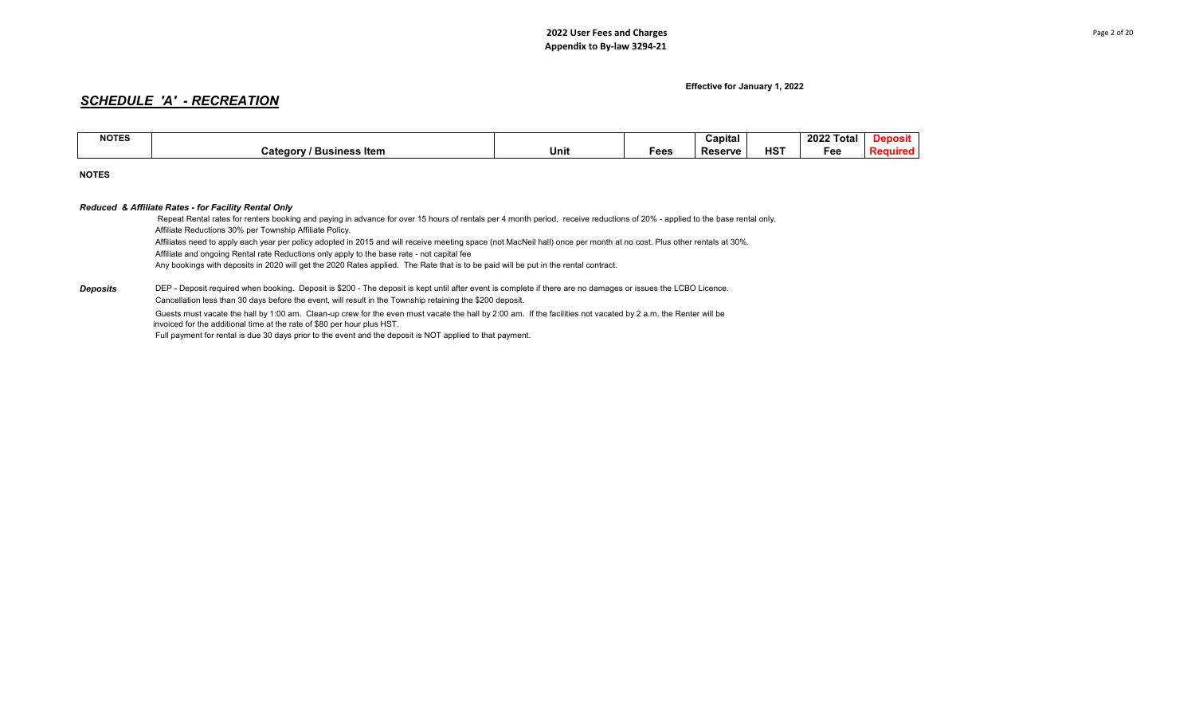# *SCHEDULE 'A' - RECREATION*

| <b>NOTES</b> |                                          |      |      | Capital        |           | 2022 T<br>Total | posit |
|--------------|------------------------------------------|------|------|----------------|-----------|-----------------|-------|
|              | <b>Business Item</b><br><b>Categor</b> ″ | Unit | Fees | <b>Reserve</b> | பவு<br>пэ | -ее             |       |

**NOTES**

*Deposits*

### *Reduced & Affiliate Rates - for Facility Rental Only*

 DEP - Deposit required when booking. Deposit is \$200 - The deposit is kept until after event is complete if there are no damages or issues the LCBO Licence. Affiliate Reductions 30% per Township Affiliate Policy. Affiliates need to apply each year per policy adopted in 2015 and will receive meeting space (not MacNeil hall) once per month at no cost. Plus other rentals at 30%. Affiliate and ongoing Rental rate Reductions only apply to the base rate - not capital fee Any bookings with deposits in 2020 will get the 2020 Rates applied. The Rate that is to be paid will be put in the rental contract. Cancellation less than 30 days before the event, will result in the Township retaining the \$200 deposit. Repeat Rental rates for renters booking and paying in advance for over 15 hours of rentals per 4 month period, receive reductions of 20% - applied to the base rental only.

 Guests must vacate the hall by 1:00 am. Clean-up crew for the even must vacate the hall by 2:00 am. If the facilities not vacated by 2 a.m. the Renter will be invoiced for the additional time at the rate of \$80 per hour plus HST.

Full payment for rental is due 30 days prior to the event and the deposit is NOT applied to that payment.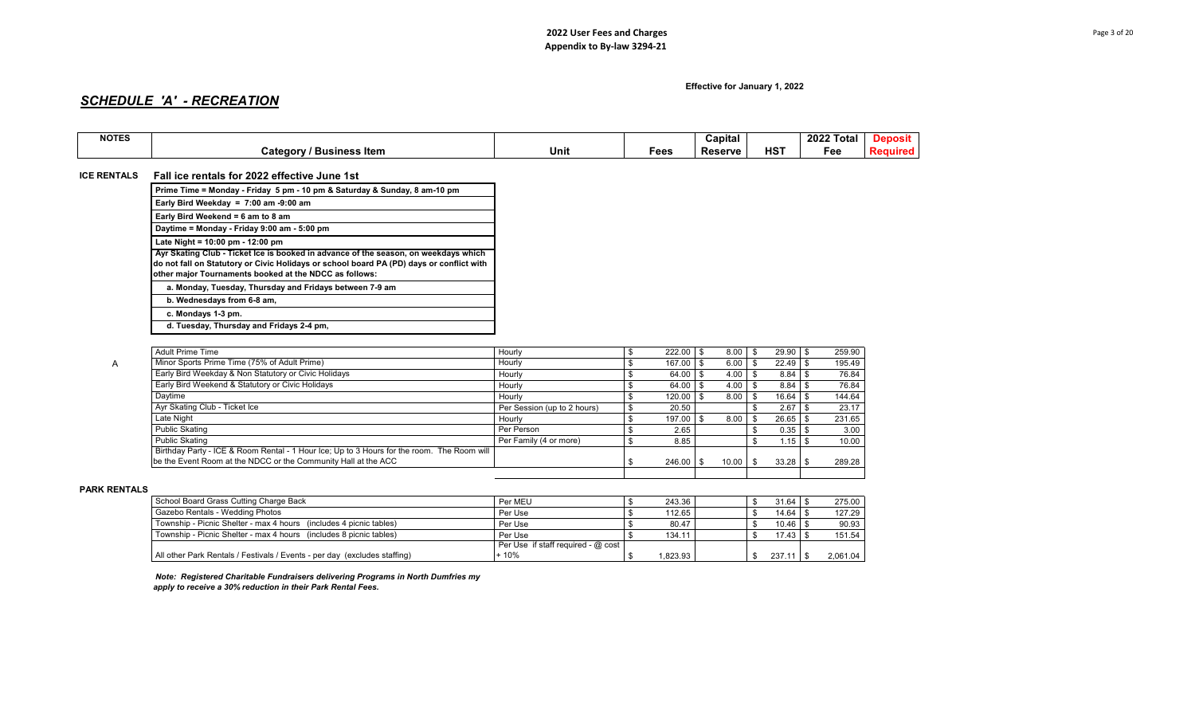# *SCHEDULE 'A' - RECREATION*

| <b>NOTES</b> |                              |      |      | Capital        |                 | $-2022$<br><b>Total</b> |  |
|--------------|------------------------------|------|------|----------------|-----------------|-------------------------|--|
|              | ′ Business Item<br>⊺ateqorvٽ | Unit | Fees | <b>Reserve</b> | HS <sup>7</sup> | Fee                     |  |

## **ICE RENTALS** Fall ice rentals for 2022 effective June 1st

| Prime Time = Monday - Friday 5 pm - 10 pm & Saturday & Sunday, 8 am-10 pm                                                                                                                                                                 |
|-------------------------------------------------------------------------------------------------------------------------------------------------------------------------------------------------------------------------------------------|
| Early Bird Weekday = $7:00$ am -9:00 am                                                                                                                                                                                                   |
| Early Bird Weekend = 6 am to 8 am                                                                                                                                                                                                         |
| Daytime = Monday - Friday 9:00 am - 5:00 pm                                                                                                                                                                                               |
| Late Night = $10:00$ pm - $12:00$ pm                                                                                                                                                                                                      |
| Ayr Skating Club - Ticket Ice is booked in advance of the season, on weekdays which<br>do not fall on Statutory or Civic Holidays or school board PA (PD) days or conflict with<br>other major Tournaments booked at the NDCC as follows: |
| a. Monday, Tuesday, Thursday and Fridays between 7-9 am                                                                                                                                                                                   |
| b. Wednesdays from 6-8 am,                                                                                                                                                                                                                |
| c. Mondays 1-3 pm.                                                                                                                                                                                                                        |
|                                                                                                                                                                                                                                           |

 **d. Tuesday, Thursday and Fridays 2-4 pm,** 

| <b>Adult Prime Time</b>                                                                    | Hourly                      | 222.00 | 8.00  | 29.90  | 259.90 |
|--------------------------------------------------------------------------------------------|-----------------------------|--------|-------|--------|--------|
| Minor Sports Prime Time (75% of Adult Prime)                                               | Hourly                      | 167.00 | 6.00  | 22.49  | 195.49 |
| Early Bird Weekday & Non Statutory or Civic Holidays                                       | Hourly                      | 64.00  | 4.00  | 8.84   | 76.84  |
| Early Bird Weekend & Statutory or Civic Holidays                                           | Hourly                      | 64.00  | 4.00  | 8.84   | 76.84  |
| Davtime                                                                                    | Hourly                      | 120.00 | 8.00  | 16.64  | 144.64 |
| Ayr Skating Club - Ticket Ice                                                              | Per Session (up to 2 hours) | 20.50  |       | 2.67   | 23.17  |
| Late Night                                                                                 | Hourly                      | 197.00 | 8.00  | 26.65  | 231.65 |
| <b>Public Skating</b>                                                                      | Per Person                  | 2.65   |       | 0.35   | 3.00   |
| <b>Public Skating</b>                                                                      | Per Family (4 or more)      | 8.85   |       | 1.15 I | 10.00  |
| Birthday Party - ICE & Room Rental - 1 Hour Ice; Up to 3 Hours for the room. The Room will |                             |        |       |        |        |
| be the Event Room at the NDCC or the Community Hall at the ACC                             |                             | 246.00 | 10.00 | 33.28  | 289.28 |
|                                                                                            |                             |        |       |        |        |

#### **PARK RENTALS 2.0%**

| School Board Grass Cutting Charge Back                                    | Per MEU                              | 243.36  |  |              | 275.00   |
|---------------------------------------------------------------------------|--------------------------------------|---------|--|--------------|----------|
| Gazebo Rentals - Wedding Photos                                           | Per Use                              | 112.65  |  | $14.64$   \$ | 127.29   |
| Township - Picnic Shelter - max 4 hours (includes 4 picnic tables)        | Per Use                              | 80.47   |  |              | 90.93    |
| Township - Picnic Shelter - max 4 hours (includes 8 picnic tables)        | Per Use                              | 134.11  |  | $17.43$ \$   | 151.54   |
|                                                                           | Per Use if staff required - $@$ cost |         |  |              |          |
| All other Park Rentals / Festivals / Events - per day (excludes staffing) | + 10%                                | .823.93 |  | $237.11$ \$  | 2.061.04 |

 *Note: Registered Charitable Fundraisers delivering Programs in North Dumfries my apply to receive a 30% reduction in their Park Rental Fees.*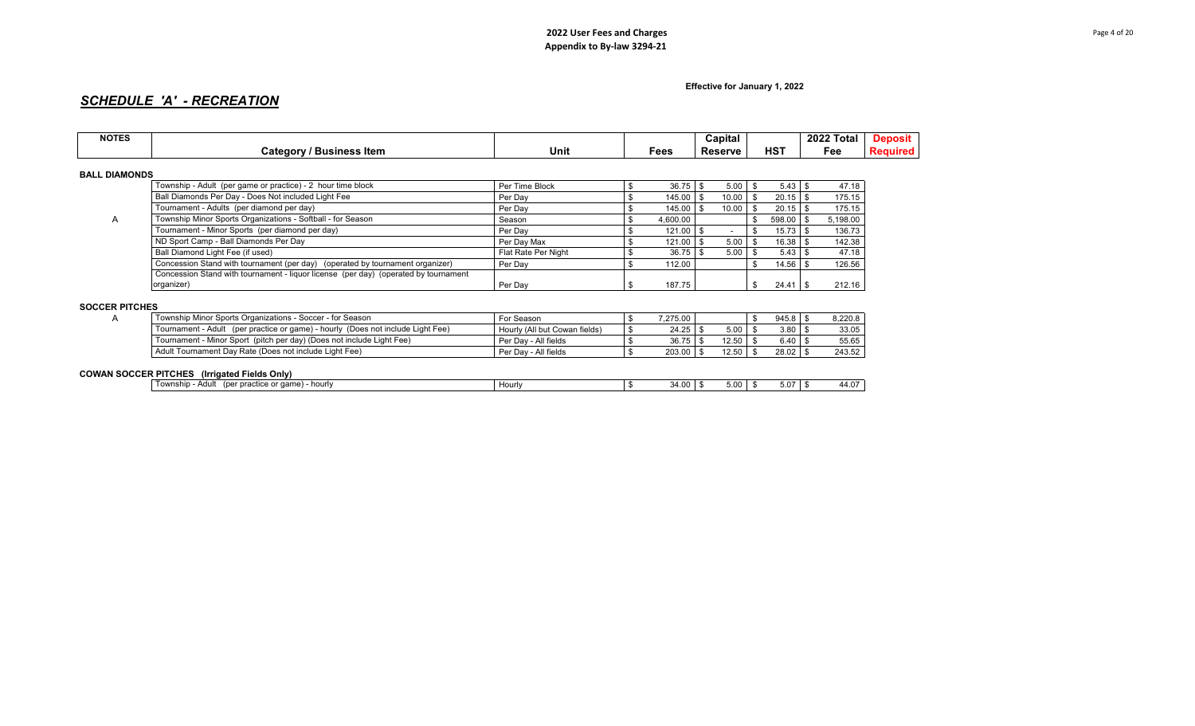**Effective for January 1, 2022**

# *SCHEDULE 'A' - RECREATION*

| <b>NOTES</b>          | <b>Category / Business Item</b>                                                                         | Unit                          |                | Fees       |      | Capital<br><b>Reserve</b> |                          | <b>HST</b> | 2022 Total<br>Fee                  | <b>Deposit</b><br><b>Required</b> |
|-----------------------|---------------------------------------------------------------------------------------------------------|-------------------------------|----------------|------------|------|---------------------------|--------------------------|------------|------------------------------------|-----------------------------------|
|                       |                                                                                                         |                               |                |            |      |                           |                          |            |                                    |                                   |
| <b>BALL DIAMONDS</b>  |                                                                                                         |                               |                |            |      |                           |                          |            |                                    |                                   |
|                       | Township - Adult (per game or practice) - 2 hour time block                                             | Per Time Block                | \$             | 36.75      | - \$ | 5.00                      | $\mathsf{S}$             |            | 47.18                              |                                   |
|                       | Ball Diamonds Per Day - Does Not included Light Fee                                                     | Per Day                       | \$             | 145.00     | - \$ | 10.00                     | - \$                     | $20.15$ \$ | 175.15                             |                                   |
|                       | Tournament - Adults (per diamond per day)                                                               | Per Day                       | \$             | 145.00     | - \$ | 10.00                     | $\overline{\phantom{a}}$ | $20.15$ \$ | 175.15                             |                                   |
| A                     | Township Minor Sports Organizations - Softball - for Season                                             | Season                        | \$             | 4,600.00   |      |                           | \$                       | 598.00     | \$<br>5,198.00                     |                                   |
|                       | Tournament - Minor Sports (per diamond per day)                                                         | Per Day                       | \$             | 121.00     | - \$ | $\overline{\phantom{a}}$  | -\$                      | $15.73$ \$ | 136.73                             |                                   |
|                       | ND Sport Camp - Ball Diamonds Per Day                                                                   | Per Day Max                   | \$             | 121.00     |      | 5.00                      | \$                       | $16.38$ \$ | 142.38                             |                                   |
|                       | Ball Diamond Light Fee (if used)                                                                        | Flat Rate Per Night           | \$             | 36.75      |      | 5.00                      | - \$                     | $5.43$ \$  | 47.18                              |                                   |
|                       | Concession Stand with tournament (per day) (operated by tournament organizer)                           | Per Day                       | \$             | 112.00     |      |                           | $\mathbf{s}$             | 14.56      | \$<br>126.56                       |                                   |
|                       | Concession Stand with tournament - liquor license (per day) (operated by tournament                     |                               |                |            |      |                           |                          |            |                                    |                                   |
|                       | organizer)                                                                                              | Per Day                       | \$             | 187.75     |      |                           | $\mathbf{s}$             | 24.41      | 212.16<br>$\overline{\phantom{a}}$ |                                   |
|                       |                                                                                                         |                               |                |            |      |                           |                          |            |                                    |                                   |
| <b>SOCCER PITCHES</b> |                                                                                                         |                               |                |            |      |                           |                          |            |                                    |                                   |
| A                     | Township Minor Sports Organizations - Soccer - for Season                                               | For Season                    | \$             | 7,275.00   |      |                           | \$                       | $945.8$ \$ | 8,220.8                            |                                   |
|                       | Tournament - Adult (per practice or game) - hourly (Does not include Light Fee)                         | Hourly (All but Cowan fields) | \$             | 24.25      |      | 5.00                      | - \$                     | $3.80$ \$  | 33.05                              |                                   |
|                       | Tournament - Minor Sport (pitch per day) (Does not include Light Fee)                                   | Per Day - All fields          | \$             | 36.75      |      | $12.50$ \$                |                          | $6.40$ \$  | 55.65                              |                                   |
|                       | Adult Tournament Day Rate (Does not include Light Fee)                                                  | Per Day - All fields          | $\mathfrak{S}$ | 203.00     | l \$ | 12.50                     | \$                       | $28.02$ \$ | 243.52                             |                                   |
|                       |                                                                                                         |                               |                |            |      |                           |                          |            |                                    |                                   |
|                       | <b>COWAN SOCCER PITCHES</b> (Irrigated Fields Only)<br>Township - Adult (per practice or game) - hourly | Hourly                        |                | $34.00$ \$ |      | $5.00$ \$                 |                          |            | 44.07                              |                                   |
|                       |                                                                                                         |                               | \$             |            |      |                           |                          | $5.07$ \$  |                                    |                                   |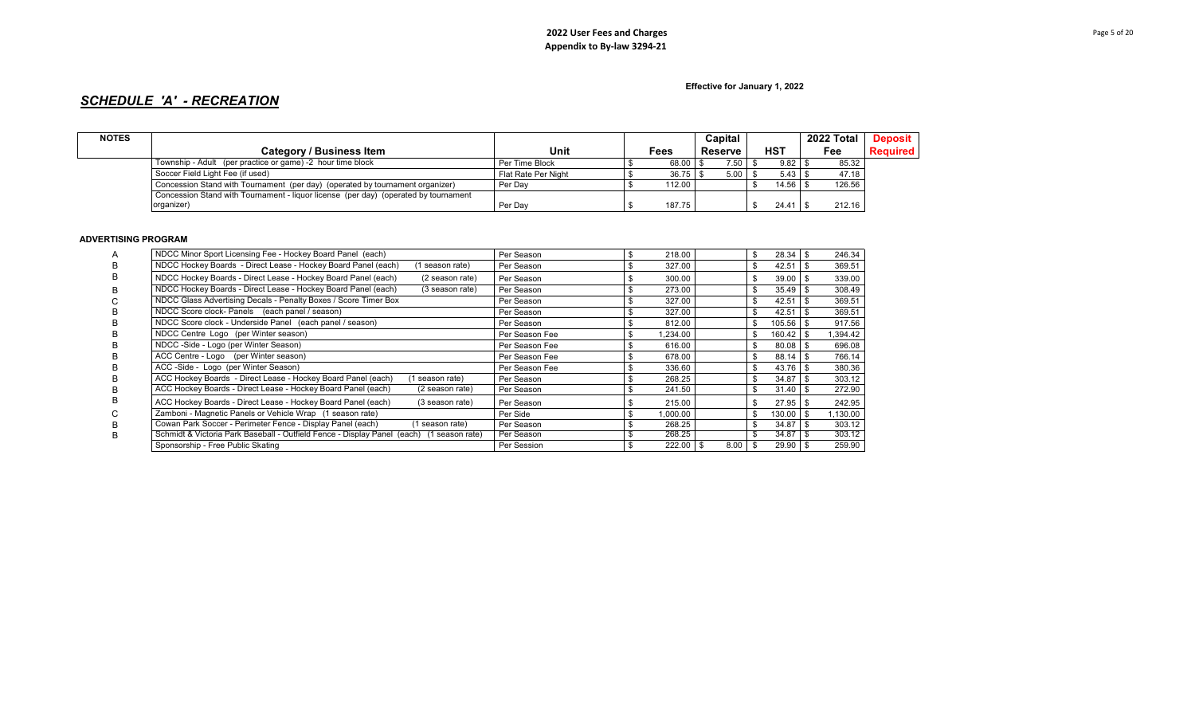**Effective for January 1, 2022**

# *SCHEDULE 'A' - RECREATION*

| <b>NOTES</b> |                                                                                     |                     |                       |         | Capital |              | 2022 Total | <b>Deposit</b>  |
|--------------|-------------------------------------------------------------------------------------|---------------------|-----------------------|---------|---------|--------------|------------|-----------------|
|              | Category / Business Item                                                            | Unit                | Fees                  | Reserve |         | <b>HST</b>   | Fee        | <b>Required</b> |
|              | Township - Adult (per practice or game) -2 hour time block                          | Per Time Block      | 68.00 \ \$            |         | 7.50    | $9.82$ \$    | 85.32      |                 |
|              | Soccer Field Light Fee (if used)                                                    | Flat Rate Per Night | $36.75$ $\frac{1}{5}$ |         | 5.00    |              | 47.18      |                 |
|              | Concession Stand with Tournament (per day) (operated by tournament organizer)       | Per Dav             | 112.00                |         |         | $14.56$   \$ | 126.56     |                 |
|              | Concession Stand with Tournament - liquor license (per day) (operated by tournament |                     |                       |         |         |              |            |                 |
|              | organizer)                                                                          | Per Dav             | 187.75                |         |         |              | 212.16     |                 |

### **ADVERTISING PROGRAM**

|   | NDCC Minor Sport Licensing Fee - Hockey Board Panel (each)                                  | Per Season     | \$<br>218.00  |      |              |      | 246.34   |
|---|---------------------------------------------------------------------------------------------|----------------|---------------|------|--------------|------|----------|
| в | NDCC Hockey Boards - Direct Lease - Hockey Board Panel (each)<br>1 season rate)             | Per Season     | 327.00        |      | $42.51$   \$ |      | 369.51   |
| B | NDCC Hockey Boards - Direct Lease - Hockey Board Panel (each)<br>(2 season rate)            | Per Season     | 300.00        |      | $39.00$   \$ |      | 339.00   |
| B | NDCC Hockey Boards - Direct Lease - Hockey Board Panel (each)<br>(3 season rate)            | Per Season     | 273.00        |      | $35.49$ \ \$ |      | 308.49   |
|   | NDCC Glass Advertising Decals - Penalty Boxes / Score Timer Box                             | Per Season     | 327.00        |      | 42.51        | - \$ | 369.51   |
|   | NDCC Score clock- Panels (each panel / season)                                              | Per Season     | 327.00        |      | 42.51        | - \$ | 369.51   |
| в | NDCC Score clock - Underside Panel (each panel / season)                                    | Per Season     | 812.00        |      | $105.56$ \$  |      | 917.56   |
|   | NDCC Centre Logo (per Winter season)                                                        | Per Season Fee | \$<br>.234.00 |      | 160.42       | -\$  | 1,394.42 |
|   | NDCC -Side - Logo (per Winter Season)                                                       | Per Season Fee | \$<br>616.00  |      | 80.08        | -\$  | 696.08   |
| n | ACC Centre - Logo (per Winter season)                                                       | Per Season Fee | 678.00        |      | 88.14        | -\$  | 766.14   |
| в | ACC -Side - Logo (per Winter Season)                                                        | Per Season Fee | \$<br>336.60  |      | 43.76        | - \$ | 380.36   |
|   | ACC Hockey Boards - Direct Lease - Hockey Board Panel (each)<br>season rate)                | Per Season     | 268.25        |      | 34.87        | - \$ | 303.12   |
|   | ACC Hockey Boards - Direct Lease - Hockey Board Panel (each)<br>(2 season rate)             | Per Season     | 241.50        |      | 31.40        | - \$ | 272.90   |
| в | ACC Hockey Boards - Direct Lease - Hockey Board Panel (each)<br>(3 season rate)             | Per Season     | 215.00        |      | $27.95$ \$   |      | 242.95   |
|   | Zamboni - Magnetic Panels or Vehicle Wrap (1 season rate)                                   | Per Side       | 1,000.00      |      | 130.00       |      | 1,130.00 |
|   | Cowan Park Soccer - Perimeter Fence - Display Panel (each)<br>1 season rate)                | Per Season     | 268.25        |      | 34.87        | - \$ | 303.12   |
| в | Schmidt & Victoria Park Baseball - Outfield Fence - Display Panel (each)<br>(1 season rate) | Per Season     | 268.25        |      | 34.87        |      | 303.12   |
|   | Sponsorship - Free Public Skating                                                           | Per Session    | $222.00$ \$   | 8.00 | $29.90$ \$   |      | 259.90   |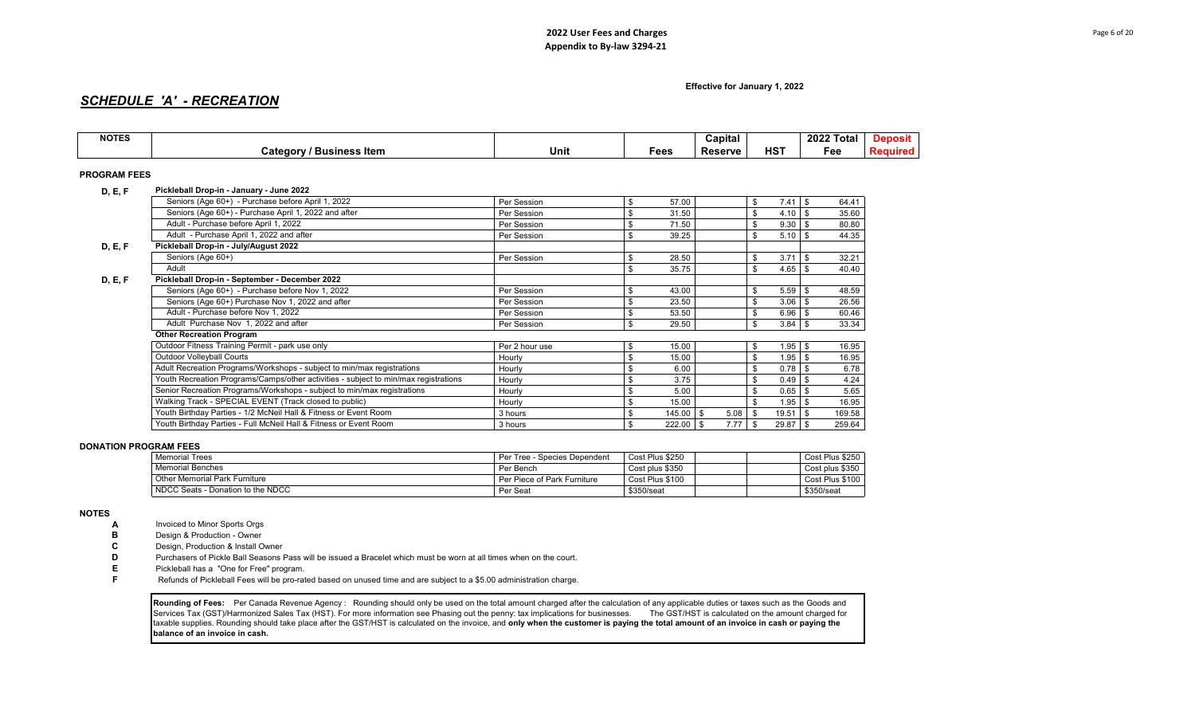# *SCHEDULE 'A' - RECREATION*

| <b>NOTES</b>        |                                                                                     |                |     |             | Capital        |                     | 2022 Total          | <b>Deposit</b>  |
|---------------------|-------------------------------------------------------------------------------------|----------------|-----|-------------|----------------|---------------------|---------------------|-----------------|
|                     | <b>Category / Business Item</b>                                                     | Unit           |     | <b>Fees</b> | <b>Reserve</b> | <b>HST</b>          | Fee                 | <b>Required</b> |
| <b>PROGRAM FEES</b> |                                                                                     |                |     |             |                |                     |                     |                 |
| D, E, F             | Pickleball Drop-in - January - June 2022                                            |                |     |             |                |                     |                     |                 |
|                     | Seniors (Age 60+) - Purchase before April 1, 2022                                   | Per Session    | \$  | 57.00       |                | $7.41$ \$<br>\$     | 64.41               |                 |
|                     | Seniors (Age 60+) - Purchase April 1, 2022 and after                                | Per Session    | \$. | 31.50       |                | 4.10<br>\$          | <b>S</b><br>35.60   |                 |
|                     | Adult - Purchase before April 1, 2022                                               | Per Session    |     | 71.50       |                | $9.30$ \$<br>\$     | 80.80               |                 |
|                     | Adult - Purchase April 1, 2022 and after                                            | Per Session    | \$  | 39.25       |                | $5.10$ \$<br>\$     | 44.35               |                 |
| D, E, F             | Pickleball Drop-in - July/August 2022                                               |                |     |             |                |                     |                     |                 |
|                     | Seniors (Age 60+)                                                                   | Per Session    |     | 28.50       |                | 3.71<br>\$          | 32.21<br>l S        |                 |
|                     | Adult                                                                               |                | \$. | 35.75       |                | \$<br>4.65          | $\sqrt{3}$<br>40.40 |                 |
| D, E, F             | Pickleball Drop-in - September - December 2022                                      |                |     |             |                |                     |                     |                 |
|                     | Seniors (Age 60+) - Purchase before Nov 1, 2022                                     | Per Session    | \$. | 43.00       |                | $5.59$ \$<br>\$     | 48.59               |                 |
|                     | Seniors (Age 60+) Purchase Nov 1, 2022 and after                                    | Per Session    |     | 23.50       |                | 3.06<br>\$          | 26.56<br>l S        |                 |
|                     | Adult - Purchase before Nov 1, 2022                                                 | Per Session    | \$. | 53.50       |                | 6.96<br>\$          | l \$<br>60.46       |                 |
|                     | Adult Purchase Nov 1, 2022 and after                                                | Per Session    | \$  | 29.50       |                | $3.84$ \$<br>\$     | 33.34               |                 |
|                     | <b>Other Recreation Program</b>                                                     |                |     |             |                |                     |                     |                 |
|                     | Outdoor Fitness Training Permit - park use only                                     | Per 2 hour use | \$  | 15.00       |                | $1.95$ \$<br>\$     | 16.95               |                 |
|                     | <b>Outdoor Volleyball Courts</b>                                                    | Hourly         |     | 15.00       |                | $1.95$ \$<br>\$     | 16.95               |                 |
|                     | Adult Recreation Programs/Workshops - subject to min/max registrations              | Hourly         |     | 6.00        |                | $0.78$ \ \ \$<br>\$ | 6.78                |                 |
|                     | Youth Recreation Programs/Camps/other activities - subject to min/max registrations | Hourly         |     | 3.75        |                | $0.49$ \$<br>\$     | 4.24                |                 |
|                     | Senior Recreation Programs/Workshops - subject to min/max registrations             | Hourly         | \$  | 5.00        |                | $0.65$ \$<br>\$     | 5.65                |                 |
|                     | Walking Track - SPECIAL EVENT (Track closed to public)                              | Hourly         | \$  | 15.00       |                | $1.95$ \$<br>\$     | 16.95               |                 |
|                     | Youth Birthday Parties - 1/2 McNeil Hall & Fitness or Event Room                    | 3 hours        | \$  | $145.00$ \$ | $5.08$ \$      | 19.51               | \$<br>169.58        |                 |
|                     | Youth Birthday Parties - Full McNeil Hall & Fitness or Event Room                   | 3 hours        | \$  | $222.00$ \$ | 7.77S          | $29.87$ \$          | 259.64              |                 |

### **DONATION PROGRAM FEES**

| <b>Memorial Trees</b>                | - Species Dependent<br>Per Tree - | Cost Plus \$250 |  | Cost Plus \$250 |
|--------------------------------------|-----------------------------------|-----------------|--|-----------------|
| <b>Memorial Benches</b>              | Per Bench                         | Cost plus \$350 |  | Cost plus \$350 |
| <b>Other Memorial Park Furniture</b> | Per Piece of Park Furniture       | Cost Plus \$100 |  | Cost Plus \$100 |
| NDCC Seats - Donation to the NDCC    | Per Seat                          | \$350/seat      |  | \$350/seat      |

### **NOTES**

- **A** Invoiced to Minor Sports Orgs
- **B** Design & Production Owner<br>**C** Design, Production & Install C
- 
- **C** Design, Production & Install Owner<br>**D** Purchasers of Pickle Ball Seasons I **D** Purchasers of Pickle Ball Seasons Pass will be issued a Bracelet which must be worn at all times when on the court.<br> **E** Pickleball has a "One for Free" program.
- **E** Pickleball has a "One for Free" program.<br>**F** Refunds of Pickleball Fees will be pro-rat
- **F** Refunds of Pickleball Fees will be pro-rated based on unused time and are subject to a \$5.00 administration charge.

Rounding of Fees: Per Canada Revenue Agency : Rounding should only be used on the total amount charged after the calculation of any applicable duties or taxes such as the Goods and Services Tax (GST)/Harmonized Sales Tax (HST). For more information see Phasing out the penny: tax implications for businesses. The GST/HST is calculated on the amount charged for taxable supplies. Rounding should take place after the GST/HST is calculated on the invoice, and **only when the customer is paying the total amount of an invoice in cash or paying the balance of an invoice in cash.**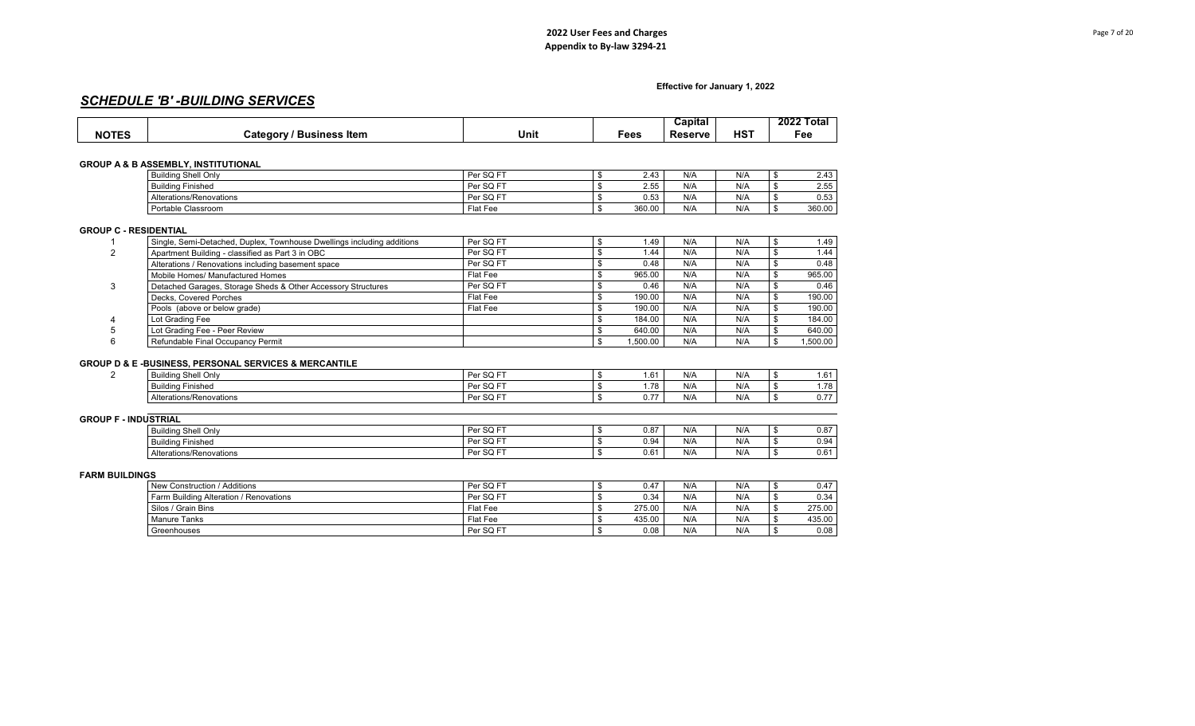# *SCHEDULE 'B' -BUILDING SERVICES*

|                          |                                       |      |      | Capital        |                      | 2022<br>ГоtаI |
|--------------------------|---------------------------------------|------|------|----------------|----------------------|---------------|
| <b>NOTE</b> <sup>•</sup> | ltem<br>∵ategorvمv<br><b>BUSINESS</b> | Unit | Fees | <b>Reserve</b> | H <sub>0</sub><br>пә | Fee           |

### **GROUP A & B ASSEMBLY, INSTITUTIONAL**

| <b>Building Shell Only</b> | Per SQ FT | 2.43   | N/A | N/A | $\sqrt{2}$<br>⌒<br>Z.4. |
|----------------------------|-----------|--------|-----|-----|-------------------------|
| Building Finished          | Per SQ FT | 2.55   | N/A | N/A | 2.55                    |
| Alterations/Renovations    | Per SQ FT | 0.53   | N/A | N/A | 0.53                    |
| Portable Classroom         | Flat Fee  | 360.00 | N/A | N/A | 360.00                  |

### **GROUP C - RESIDENTIAL**

|    | Single, Semi-Detached, Duplex, Townhouse Dwellings including additions | Per SQ FT | 1.49     | N/A | N/A | 1.49     |
|----|------------------------------------------------------------------------|-----------|----------|-----|-----|----------|
| 2  | Apartment Building - classified as Part 3 in OBC                       | Per SQ FT | 1.44     | N/A | N/A | 1.44     |
|    | Alterations / Renovations including basement space                     | Per SQ FT | 0.48     | N/A | N/A | 0.48     |
|    | Mobile Homes/ Manufactured Homes                                       | Flat Fee  | 965.00   | N/A | N/A | 965.00   |
| 3  | Detached Garages, Storage Sheds & Other Accessory Structures           | Per SQ FT | 0.46     | N/A | N/A | 0.46     |
|    | Decks, Covered Porches                                                 | Flat Fee  | 190.00   | N/A | N/A | 190.00   |
|    | Pools (above or below grade)                                           | Flat Fee  | 190.00   | N/A | N/A | 190.00   |
| 4  | Lot Grading Fee                                                        |           | 184.00   | N/A | N/A | 184.00   |
| -5 | Lot Grading Fee - Peer Review                                          |           | 640.00   | N/A | N/A | 640.00   |
| 6  | Refundable Final Occupancy Permit                                      |           | 1.500.00 | N/A | N/A | 1,500.00 |

### **GROUP D & E -BUSINESS, PERSONAL SERVICES & MERCANTILE**

| $\sim$<br>l Building Shell Only              | $\sim$ $\sim$ $\sim$<br>Dor<br><b>. 이 보</b> | $\overline{\phantom{a}}$<br>.0' | N/A | <b>AII</b><br>N/t | 1.0                     |
|----------------------------------------------|---------------------------------------------|---------------------------------|-----|-------------------|-------------------------|
| Buildina<br>Finished                         | ___<br>Dor<br>.                             | $\sim$<br>.                     | N/A | <b>AI</b><br>N/I  | .78                     |
| $\ddot{\mathbf{a}}$<br>erations/Renovations_ | $\sim$ $\sim$<br>___<br>ימם<br>.            | $\sim$ $\sim$<br>$\mathsf{U}$ . | N/A | <b>MII</b><br>N/t | $\sim$ $-$<br><b>U.</b> |

## **GROUP F - INDUSTRIAL**

| $Par$ SO ET<br>N/A<br>$\cdots$<br>0.87<br><b>Building Shell Only</b><br>N/I<br>ىپ<br>- 51           |  |  |  |                         |
|-----------------------------------------------------------------------------------------------------|--|--|--|-------------------------|
|                                                                                                     |  |  |  | 0.87                    |
| $Par$ SO ET<br>.<br>N/A<br>0.94<br>Building<br>Finished<br>N/I<br>ັບພ<br>- 61                       |  |  |  | 0.94                    |
| $Par$ SO ET<br>5.11A<br>N/A<br>$\sim$ $\sim$<br>Alterations/Renovations<br>U.b<br>N/I<br>ىپ<br>- 61 |  |  |  | $\sim$<br>$0.6^{\circ}$ |

### **FARM BUILDINGS**

| New Construction / Additions           | Per SQ FT | 0.47   | N/A | N/A | $0.47$ |
|----------------------------------------|-----------|--------|-----|-----|--------|
| Farm Building Alteration / Renovations | Per SQ FT | 0.34   | N/A | N/A | 0.34   |
| Silos / Grain Bins                     | Flat Fee  | 275.00 | N/A | N/A | 275.00 |
| <b>Manure Tanks</b>                    | Flat Fee  | 435.00 | N/A | N/A | 435.00 |
| Greenhouses                            | Per SQ FT | 0.08   | N/A | N/A | 0.08   |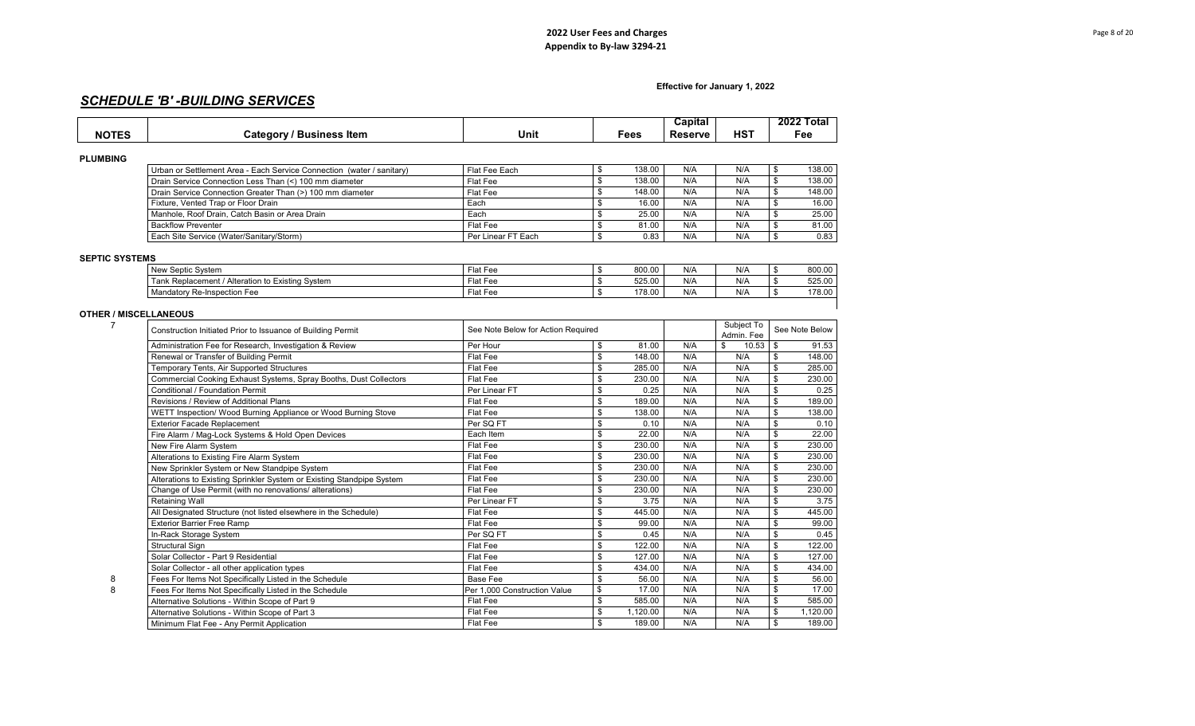## **Effective for January 1, 2022**

# *SCHEDULE 'B' -BUILDING SERVICES*

|                              |                                                                       |                                    |                         |             | Capital        |             | 2022 Total                       |
|------------------------------|-----------------------------------------------------------------------|------------------------------------|-------------------------|-------------|----------------|-------------|----------------------------------|
| <b>NOTES</b>                 | <b>Category / Business Item</b>                                       | Unit                               |                         | <b>Fees</b> | <b>Reserve</b> | <b>HST</b>  | Fee                              |
|                              |                                                                       |                                    |                         |             |                |             |                                  |
| <b>PLUMBING</b>              |                                                                       |                                    |                         |             |                |             |                                  |
|                              | Urban or Settlement Area - Each Service Connection (water / sanitary) | Flat Fee Each                      | \$                      | 138.00      | N/A            | N/A         | \$<br>138.00                     |
|                              | Drain Service Connection Less Than (<) 100 mm diameter                | Flat Fee                           | \$                      | 138.00      | N/A            | N/A         | \$<br>138.00                     |
|                              | Drain Service Connection Greater Than (>) 100 mm diameter             | Flat Fee                           | \$                      | 148.00      | N/A            | N/A         | \$<br>148.00                     |
|                              | Fixture, Vented Trap or Floor Drain                                   | Each                               | \$                      | 16.00       | N/A            | N/A         | \$<br>16.00                      |
|                              | Manhole, Roof Drain, Catch Basin or Area Drain                        | Each                               | \$                      | 25.00       | N/A            | N/A         | \$<br>25.00                      |
|                              | <b>Backflow Preventer</b>                                             | Flat Fee                           | \$                      | 81.00       | N/A            | N/A         | $\mathbf{s}$<br>81.00            |
|                              | Each Site Service (Water/Sanitary/Storm)                              | Per Linear FT Each                 | \$                      | 0.83        | N/A            | N/A         | 0.83<br>\$                       |
|                              |                                                                       |                                    |                         |             |                |             |                                  |
| <b>SEPTIC SYSTEMS</b>        |                                                                       |                                    |                         |             |                |             |                                  |
|                              | New Septic System                                                     | Flat Fee                           | \$                      | 800.00      | N/A            | N/A         | \$<br>800.00                     |
|                              | Tank Replacement / Alteration to Existing System                      | Flat Fee                           | \$                      | 525.00      | N/A            | N/A         | \$<br>525.00                     |
|                              | Mandatory Re-Inspection Fee                                           | Flat Fee                           | \$                      | 178.00      | N/A            | N/A         | \$<br>178.00                     |
| <b>OTHER / MISCELLANEOUS</b> |                                                                       |                                    |                         |             |                |             |                                  |
| 7                            |                                                                       |                                    |                         |             |                | Subject To  |                                  |
|                              | Construction Initiated Prior to Issuance of Building Permit           | See Note Below for Action Required |                         |             |                | Admin. Fee  | See Note Below                   |
|                              | Administration Fee for Research, Investigation & Review               | Per Hour                           | \$                      | 81.00       | N/A            | \$<br>10.53 | \$<br>91.53                      |
|                              | Renewal or Transfer of Building Permit                                | Flat Fee                           | \$                      | 148.00      | N/A            | N/A         | \$<br>148.00                     |
|                              | Temporary Tents, Air Supported Structures                             | Flat Fee                           | \$                      | 285.00      | N/A            | N/A         | \$<br>285.00                     |
|                              | Commercial Cooking Exhaust Systems, Spray Booths, Dust Collectors     | Flat Fee                           | \$                      | 230.00      | N/A            | N/A         | $\mathbb{S}$<br>230.00           |
|                              | Conditional / Foundation Permit                                       | Per Linear FT                      | \$                      | 0.25        | N/A            | N/A         | $\mathbb{S}$<br>0.25             |
|                              | Revisions / Review of Additional Plans                                | Flat Fee                           | \$                      | 189.00      | N/A            | N/A         | \$<br>189.00                     |
|                              | WETT Inspection/ Wood Burning Appliance or Wood Burning Stove         | Flat Fee                           | \$                      | 138.00      | N/A            | N/A         | \$<br>138.00                     |
|                              | <b>Exterior Facade Replacement</b>                                    | Per SQ FT                          | \$                      | 0.10        | N/A            | N/A         | $\mathbb{S}$<br>0.10             |
|                              | Fire Alarm / Mag-Lock Systems & Hold Open Devices                     | Each Item                          | \$                      | 22.00       | N/A            | N/A         | $\mathbf{s}$<br>22.00            |
|                              | New Fire Alarm System                                                 | Flat Fee                           | \$                      | 230.00      | N/A            | N/A         | \$<br>230.00                     |
|                              | Alterations to Existing Fire Alarm System                             | Flat Fee                           | \$                      | 230.00      | N/A            | N/A         | \$<br>230.00                     |
|                              | New Sprinkler System or New Standpipe System                          | Flat Fee                           | \$                      | 230.00      | N/A            | N/A         | \$<br>230.00                     |
|                              | Alterations to Existing Sprinkler System or Existing Standpipe System | Flat Fee                           | \$                      | 230.00      | N/A            | N/A         | $\mathbb{S}$<br>230.00           |
|                              | Change of Use Permit (with no renovations/ alterations)               | Flat Fee                           | \$                      | 230.00      | N/A            | N/A         | \$<br>230.00                     |
|                              | Retaining Wall                                                        | Per Linear FT                      | \$                      | 3.75        | N/A            | N/A         | \$<br>3.75                       |
|                              | All Designated Structure (not listed elsewhere in the Schedule)       | Flat Fee                           | \$                      | 445.00      | N/A            | N/A         | \$<br>445.00                     |
|                              | <b>Exterior Barrier Free Ramp</b>                                     | Flat Fee                           | \$                      | 99.00       | N/A            | N/A         | $\mathbf{s}$<br>99.00            |
|                              | In-Rack Storage System                                                | Per SQ FT                          | \$                      | 0.45        | N/A            | N/A         | \$<br>0.45                       |
|                              | <b>Structural Sign</b>                                                | Flat Fee                           | \$                      | 122.00      | N/A            | N/A         | 122.00<br>\$                     |
|                              | Solar Collector - Part 9 Residential                                  | Flat Fee                           | \$                      | 127.00      | N/A            | N/A         | \$<br>127.00                     |
|                              | Solar Collector - all other application types                         | Flat Fee                           | \$                      | 434.00      | N/A            | N/A         | \$<br>434.00                     |
| 8                            | Fees For Items Not Specifically Listed in the Schedule                | <b>Base Fee</b>                    | $\overline{\mathbb{S}}$ | 56.00       | N/A            | N/A         | $\overline{\mathbf{s}}$<br>56.00 |
| 8                            | Fees For Items Not Specifically Listed in the Schedule                | Per 1,000 Construction Value       | \$                      | 17.00       | N/A            | N/A         | $\mathbf{s}$<br>17.00            |
|                              | Alternative Solutions - Within Scope of Part 9                        | Flat Fee                           | \$                      | 585.00      | N/A            | N/A         | \$<br>585.00                     |
|                              | Alternative Solutions - Within Scope of Part 3                        | Flat Fee                           | \$                      | 1,120.00    | N/A            | N/A         | \$<br>1.120.00                   |
|                              | Minimum Flat Fee - Any Permit Application                             | Flat Fee                           | \$                      | 189.00      | N/A            | N/A         | $\mathfrak s$<br>189.00          |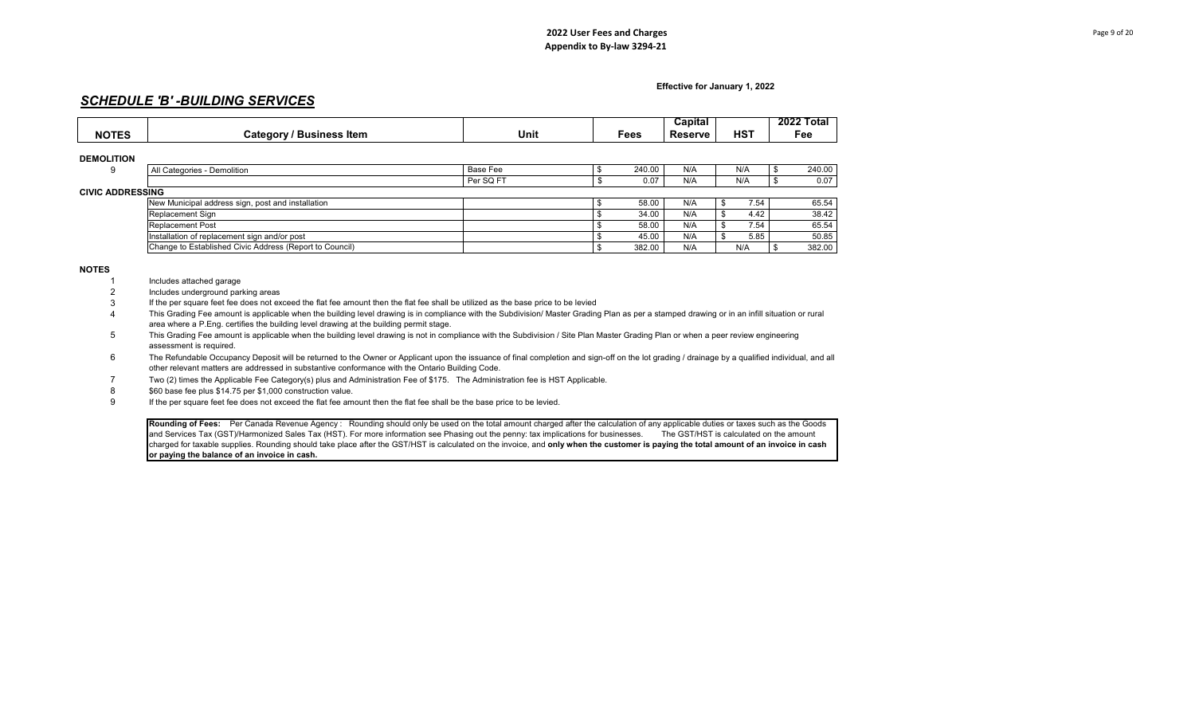Per SQ FT \$ 0.07 N/A N/A \$ 0.07

**Effective for January 1, 2022**

# *SCHEDULE 'B' -BUILDING SERVICES*

| <b>NOTES</b>      | Category / Business Item    | Unit     | Fees   | Capital<br><b>Reserve</b> | HST | 2022 Total<br>Fee |
|-------------------|-----------------------------|----------|--------|---------------------------|-----|-------------------|
| <b>DEMOLITION</b> |                             |          |        |                           |     |                   |
|                   | All Categories - Demolition | Base Fee | 240.00 | N/A                       | N/A | 240.00            |

### **CIVIC ADDRESS**

| iNG.                                                    |  |        |     |      |        |
|---------------------------------------------------------|--|--------|-----|------|--------|
| New Municipal address sign, post and installation       |  | 58.00  | N/A | 7.54 | 65.54  |
| Replacement Sign                                        |  | 34.00  | N/A | 4.42 | 38.42  |
| <b>Replacement Post</b>                                 |  | 58.00  | N/A | 7.54 | 65.54  |
| Installation of replacement sign and/or post            |  | 45.00  | N/A | 5.85 | 50.85  |
| Change to Established Civic Address (Report to Council) |  | 382.00 | N/A | N/A  | 382.00 |

### **NOTES**

- 1 Includes attached garage
- 2 Includes underground parking areas
- 3 If the per square feet fee does not exceed the flat fee amount then the flat fee shall be utilized as the base price to be levied
- 4 This Grading Fee amount is applicable when the building level drawing is in compliance with the Subdivision/ Master Grading Plan as per a stamped drawing or in an infill situation or rural area where a P.Eng. certifies the building level drawing at the building permit stage.
- 5 This Grading Fee amount is applicable when the building level drawing is not in compliance with the Subdivision / Site Plan Master Grading Plan or when a peer review engineering assessment is required.
- 6 The Refundable Occupancy Deposit will be returned to the Owner or Applicant upon the issuance of final completion and sign-off on the lot grading / drainage by a qualified individual, and all other relevant matters are addressed in substantive conformance with the Ontario Building Code.
- Two (2) times the Applicable Fee Category(s) plus and Administration Fee of \$175. The Administration fee is HST Applicable.
- 7 \$60 base fee plus \$14.75 per \$1,000 construction value.
- 9 If the per square feet fee does not exceed the flat fee amount then the flat fee shall be the base price to be levied.

Rounding of Fees: Per Canada Revenue Agency : Rounding should only be used on the total amount charged after the calculation of any applicable duties or taxes such as the Goods and Services Tax (GST)/Harmonized Sales Tax (HST). For more information see Phasing out the penny: tax implications for businesses. The GST/HST is calculated on the amount charged for taxable supplies. Rounding should take place after the GST/HST is calculated on the invoice, and **only when the customer is paying the total amount of an invoice in cash or paying the balance of an invoice in cash.**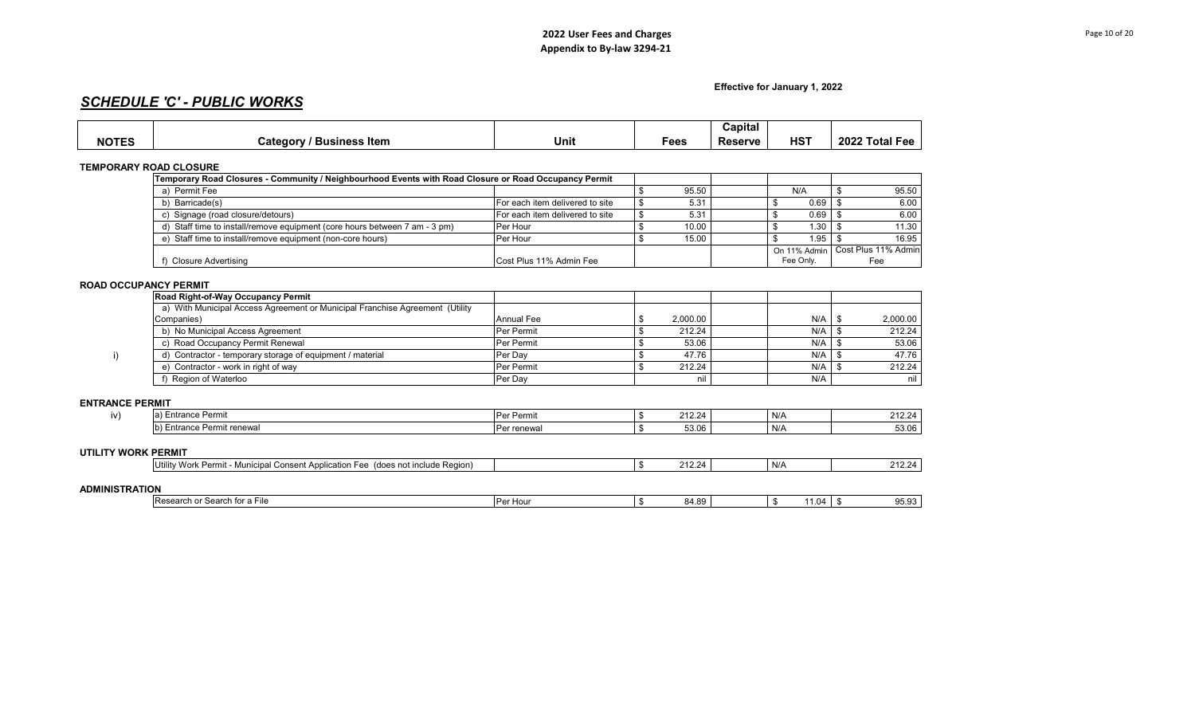**Effective for January 1, 2022**

# *SCHEDULE 'C' - PUBLIC WORKS*

|              |                                  |      |      | Capital |                 |                                           |
|--------------|----------------------------------|------|------|---------|-----------------|-------------------------------------------|
| <b>NOTES</b> | <b>Business Item</b><br>Category | Unit | Fees | Reserve | HS <sup>7</sup> | 2022 T<br>. Fotal $\Gamma$<br>⊢۵۵<br>. 66 |

**TEMPORARY ROAD CLOSURE 2.0%**

|                                                                            | Temporary Road Closures - Community / Neighbourhood Events with Road Closure or Road Occupancy Permit |  |       |           |                                    |
|----------------------------------------------------------------------------|-------------------------------------------------------------------------------------------------------|--|-------|-----------|------------------------------------|
| a) Permit Fee                                                              |                                                                                                       |  | 95.50 | N/A       | 95.50                              |
| b) Barricade(s)                                                            | For each item delivered to site                                                                       |  | 5.31  | 0.69      | 6.00                               |
| Signage (road closure/detours)                                             | For each item delivered to site                                                                       |  | 5.31  | 0.69      | 6.00                               |
| d) Staff time to install/remove equipment (core hours between 7 am - 3 pm) | Per Hour                                                                                              |  | 10.00 | 1.30      | 11.30                              |
| e) Staff time to install/remove equipment (non-core hours)                 | Per Hour                                                                                              |  | 15.00 | 1.95      | 16.95                              |
|                                                                            |                                                                                                       |  |       |           | On 11% Admin   Cost Plus 11% Admin |
| Closure Advertising                                                        | Cost Plus 11% Admin Fee                                                                               |  |       | Fee Only. | Fee                                |

## **ROAD OCCUPANCY PERMIT**

| <b>Road Right-of-Way Occupancy Permit</b>                                    |                   |          |     |          |
|------------------------------------------------------------------------------|-------------------|----------|-----|----------|
| a) With Municipal Access Agreement or Municipal Franchise Agreement (Utility |                   |          |     |          |
| Companies)                                                                   | <b>Annual Fee</b> | 2,000.00 | N/A | 2,000.00 |
| b) No Municipal Access Agreement                                             | Per Permit        | 212.24   | N/A | 212.24   |
| c) Road Occupancy Permit Renewal                                             | Per Permit        | 53.06    | N/A | 53.06    |
| d) Contractor - temporary storage of equipment / material                    | Per Dav           | 47.76    | N/A | 47.76    |
| e) Contractor - work in right of way                                         | Per Permit        | 212.24   | N/A | 212.24   |
| Region of Waterloo                                                           | Per Dav           | nil      | N/A | nil      |

### **ENTRANCE PERMIT**

| ----------------      |                                                                                   |                   |        |     |        |
|-----------------------|-----------------------------------------------------------------------------------|-------------------|--------|-----|--------|
| iv)                   | a) Entrance Permit                                                                | <b>Per Permit</b> | 212.24 | N/A | 212.24 |
|                       | b) Entrance Permit renewal                                                        | Per renewal       | 53.06  | N/A | 53.06  |
| UTILITY WORK PERMIT   |                                                                                   |                   |        |     |        |
|                       | Utility Work Permit - Municipal Consent Application Fee (does not include Region) |                   | 212.24 | N/A | 212.24 |
| <b>ADMINISTRATION</b> |                                                                                   |                   |        |     |        |

| ----                                                                           |              |         |             |                        |
|--------------------------------------------------------------------------------|--------------|---------|-------------|------------------------|
| IRe<br>$\gamma$ arch for a $\gamma$<br>arch<br>$\sim$<br>-211<br>.<br>.<br>. . | * Hou<br>ے ب | 84<br>. | - 11/1<br>. | $\sim$ $\sim$<br>ບບ.ບບ |
|                                                                                |              |         |             |                        |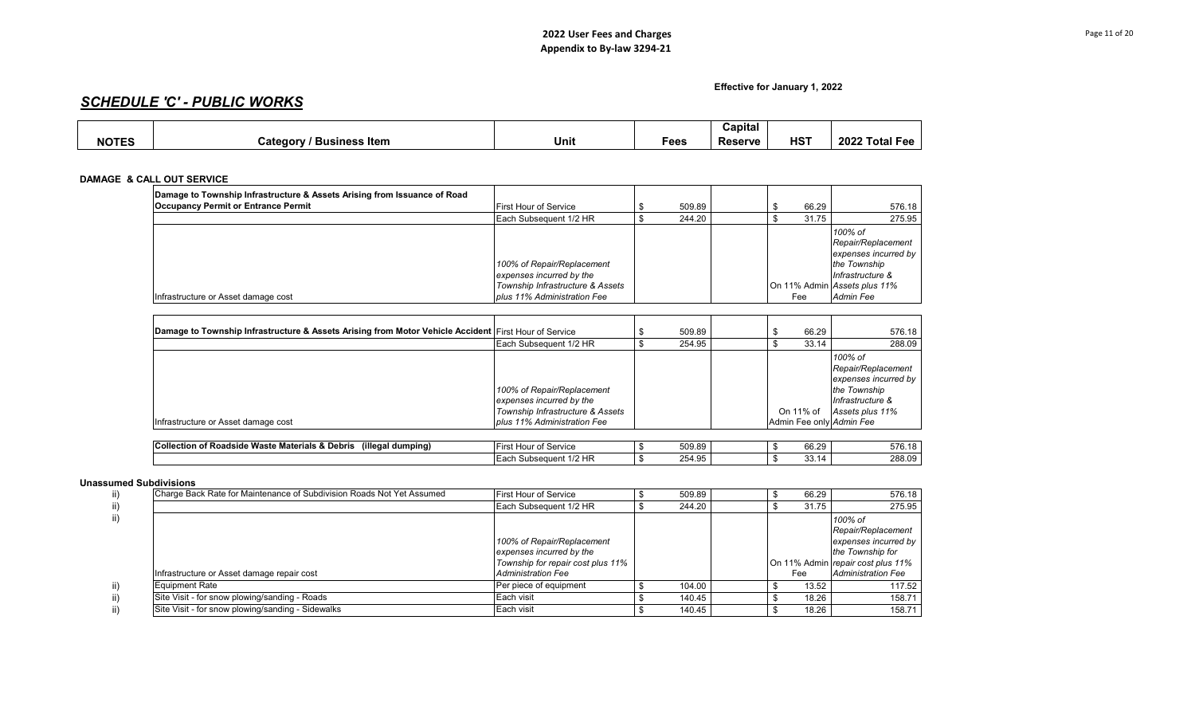**Effective for January 1, 2022**

# *SCHEDULE 'C' - PUBLIC WORKS*

|              |                                      |      |      | Capital        |            |                |
|--------------|--------------------------------------|------|------|----------------|------------|----------------|
| <b>NOTES</b> | / Business Item<br>Category /<br>. . | Unit | Fees | <b>Reserve</b> | <b>HST</b> | 2022 Total Fee |

## **DAMAGE & CALL OUT SERVICE**

| Damage to Township Infrastructure & Assets Arising from Issuance of Road<br><b>Occupancy Permit or Entrance Permit</b> | <b>First Hour of Service</b>                                                               | 509.89 | 66.29 | 576.18                                                                                                                    |
|------------------------------------------------------------------------------------------------------------------------|--------------------------------------------------------------------------------------------|--------|-------|---------------------------------------------------------------------------------------------------------------------------|
|                                                                                                                        | Each Subsequent 1/2 HR                                                                     | 244.20 | 31.75 | 275.95                                                                                                                    |
|                                                                                                                        | 100% of Repair/Replacement<br>expenses incurred by the<br>Township Infrastructure & Assets |        |       | 100% of<br>Repair/Replacement<br>expenses incurred by<br>the Township<br>Infrastructure &<br>On 11% Admin Assets plus 11% |
| Infrastructure or Asset damage cost                                                                                    | plus 11% Administration Fee                                                                |        | Fee   | Admin Fee                                                                                                                 |

| Damage to Township Infrastructure & Assets Arising from Motor Vehicle Accident First Hour of Service |                                                                                            | 509.89 | 66.29                    | 576.18                                                                                                       |
|------------------------------------------------------------------------------------------------------|--------------------------------------------------------------------------------------------|--------|--------------------------|--------------------------------------------------------------------------------------------------------------|
|                                                                                                      | Each Subsequent 1/2 HR                                                                     | 254.95 | 33.14                    | 288.09                                                                                                       |
|                                                                                                      | 100% of Repair/Replacement<br>expenses incurred by the<br>Township Infrastructure & Assets |        | On 11% of                | 100% of<br>Repair/Replacement<br>expenses incurred by<br>the Township<br>Infrastructure &<br>Assets plus 11% |
| Infrastructure or Asset damage cost                                                                  | plus 11% Administration Fee                                                                |        | Admin Fee only Admin Fee |                                                                                                              |

| (illegal dumping)<br>$\sim$<br><b>BR-4-</b><br><b>Collection of</b><br>Waste i<br>. Roadside v<br>ิ Materials &<br>. Debris | $\cdot$ $-$<br>Hour of Service<br>-ırs                | 509.89                     |  | 0000<br>66.29<br>,,, | 576.<br>$\epsilon$ |
|-----------------------------------------------------------------------------------------------------------------------------|-------------------------------------------------------|----------------------------|--|----------------------|--------------------|
|                                                                                                                             | $1/2$ HP<br>าseauent<br>$I = 20k$<br>Subse<br>. Eduli | 1 Q5<br>$\Omega$<br>204.90 |  | ັ                    | 288.09             |

## **Unassumed Subdivisions**

| Charge Back Rate for Maintenance of Subdivision Roads Not Yet Assumed | <b>First Hour of Service</b>                                                                | 509.89 |  | 66.29 | 576.18                                                                                                         |
|-----------------------------------------------------------------------|---------------------------------------------------------------------------------------------|--------|--|-------|----------------------------------------------------------------------------------------------------------------|
|                                                                       | Each Subsequent 1/2 HR                                                                      | 244.20 |  | 31.75 | 275.95                                                                                                         |
|                                                                       | 100% of Repair/Replacement<br>expenses incurred by the<br>Township for repair cost plus 11% |        |  |       | 100% of<br>Repair/Replacement<br>expenses incurred by<br>the Township for<br>On 11% Admin repair cost plus 11% |
| Infrastructure or Asset damage repair cost                            | <b>Administration Fee</b>                                                                   |        |  | Fee   | <b>Administration Fee</b>                                                                                      |
| <b>Equipment Rate</b>                                                 | Per piece of equipment                                                                      | 104.00 |  | 13.52 | 117.52                                                                                                         |
| Site Visit - for snow plowing/sanding - Roads                         | Each visit                                                                                  | 140.45 |  | 18.26 | 158.71                                                                                                         |
| Site Visit - for snow plowing/sanding - Sidewalks                     | Each visit                                                                                  | 140.45 |  | 18.26 | 158.71                                                                                                         |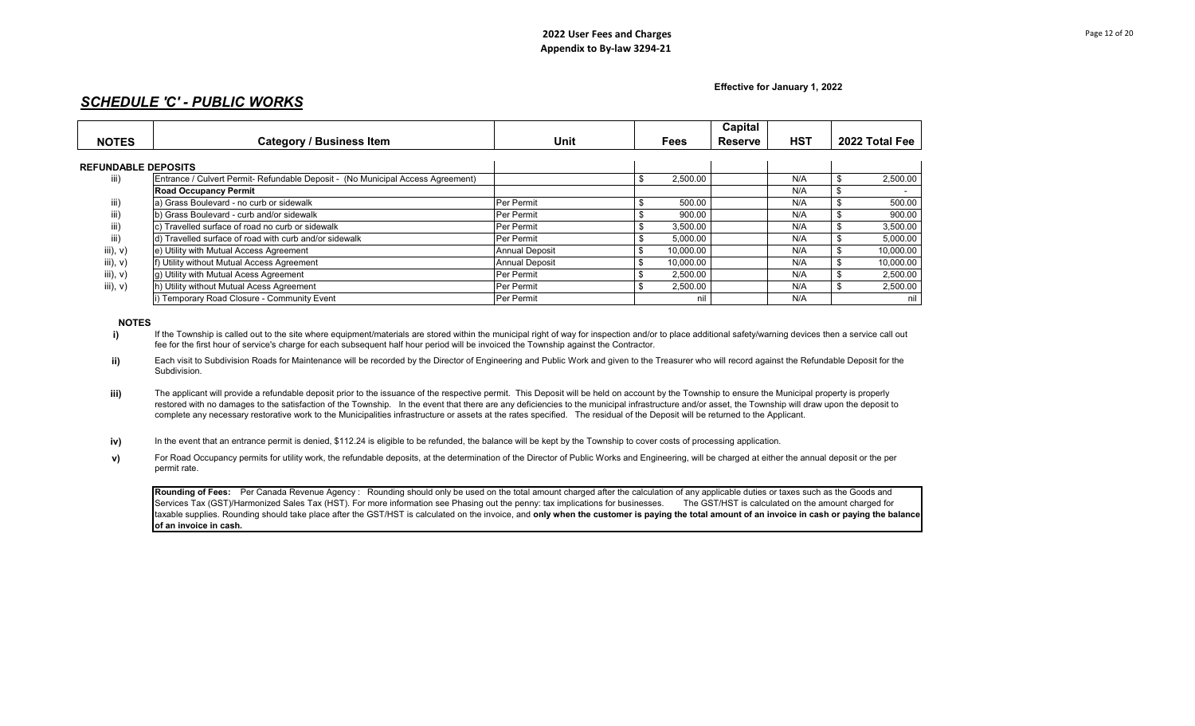**Effective for January 1, 2022**

# *SCHEDULE 'C' - PUBLIC WORKS*

|                            |                                                                                 |                       |               | Capital |            |                |
|----------------------------|---------------------------------------------------------------------------------|-----------------------|---------------|---------|------------|----------------|
| <b>NOTES</b>               | <b>Category / Business Item</b>                                                 | Unit                  | Fees          | Reserve | <b>HST</b> | 2022 Total Fee |
| <b>REFUNDABLE DEPOSITS</b> |                                                                                 |                       |               |         |            |                |
| iii)                       | Entrance / Culvert Permit- Refundable Deposit - (No Municipal Access Agreement) |                       | 2,500.00      |         | N/A        | 2,500.00       |
|                            | <b>Road Occupancy Permit</b>                                                    |                       |               |         | N/A        | $\sim$         |
| iii)                       | a) Grass Boulevard - no curb or sidewalk                                        | Per Permit            | 500.00        |         | N/A        | 500.00         |
| III)                       | b) Grass Boulevard - curb and/or sidewalk                                       | Per Permit            | 900.00        |         | N/A        | 900.00         |
| III)                       | Travelled surface of road no curb or sidewalk                                   | Per Permit            | 3,500.00<br>ъ |         | N/A        | 3,500.00       |
| iii)                       | d) Travelled surface of road with curb and/or sidewalk                          | Per Permit            | 5,000.00      |         | N/A        | 5,000.00       |
| iii), v)                   | e) Utility with Mutual Access Agreement                                         | <b>Annual Deposit</b> | 10.000.00     |         | N/A        | 10,000.00      |
| iii), $v)$                 | f) Utility without Mutual Access Agreement                                      | <b>Annual Deposit</b> | 10,000.00     |         | N/A        | 10,000.00      |
| iii), $v)$                 | g) Utility with Mutual Acess Agreement                                          | Per Permit            | 2,500.00      |         | N/A        | 2,500.00       |
| iii), $v)$                 | h) Utility without Mutual Acess Agreement                                       | Per Permit            | 2,500.00      |         | N/A        | 2,500.00       |
|                            | ) Temporary Road Closure - Community Event                                      | Per Permit            | nil           |         | N/A        | nil            |

**NOTES**

**i)** If the Township is called out to the site where equipment/materials are stored within the municipal right of way for inspection and/or to place additional safety/warning devices then a service call out fee for the first hour of service's charge for each subsequent half hour period will be invoiced the Township against the Contractor.

- **ii)** Each visit to Subdivision Roads for Maintenance will be recorded by the Director of Engineering and Public Work and given to the Treasurer who will record against the Refundable Deposit for the Subdivision.
- **iii)** The applicant will provide a refundable deposit prior to the issuance of the respective permit. This Deposit will be held on account by the Township to ensure the Municipal property is properly restored with no damages to the satisfaction of the Township. In the event that there are any deficiencies to the municipal infrastructure and/or asset, the Township will draw upon the deposit to complete any necessary restorative work to the Municipalities infrastructure or assets at the rates specified. The residual of the Deposit will be returned to the Applicant.
- **iv)** In the event that an entrance permit is denied, \$112.24 is eligible to be refunded, the balance will be kept by the Township to cover costs of processing application.
- **v)** For Road Occupancy permits for utility work, the refundable deposits, at the determination of the Director of Public Works and Engineering, will be charged at either the annual deposit or the per permit rate.

**Rounding of Fees:** Per Canada Revenue Agency : Rounding should only be used on the total amount charged after the calculation of any applicable duties or taxes such as the Goods and Services Tax (GST)/Harmonized Sales Tax (HST). For more information see Phasing out the penny: tax implications for businesses. The GST/HST is calculated on the amount charged for taxable supplies. Rounding should take place after the GST/HST is calculated on the invoice, and **only when the customer is paying the total amount of an invoice in cash or paying the balance of an invoice in cash.**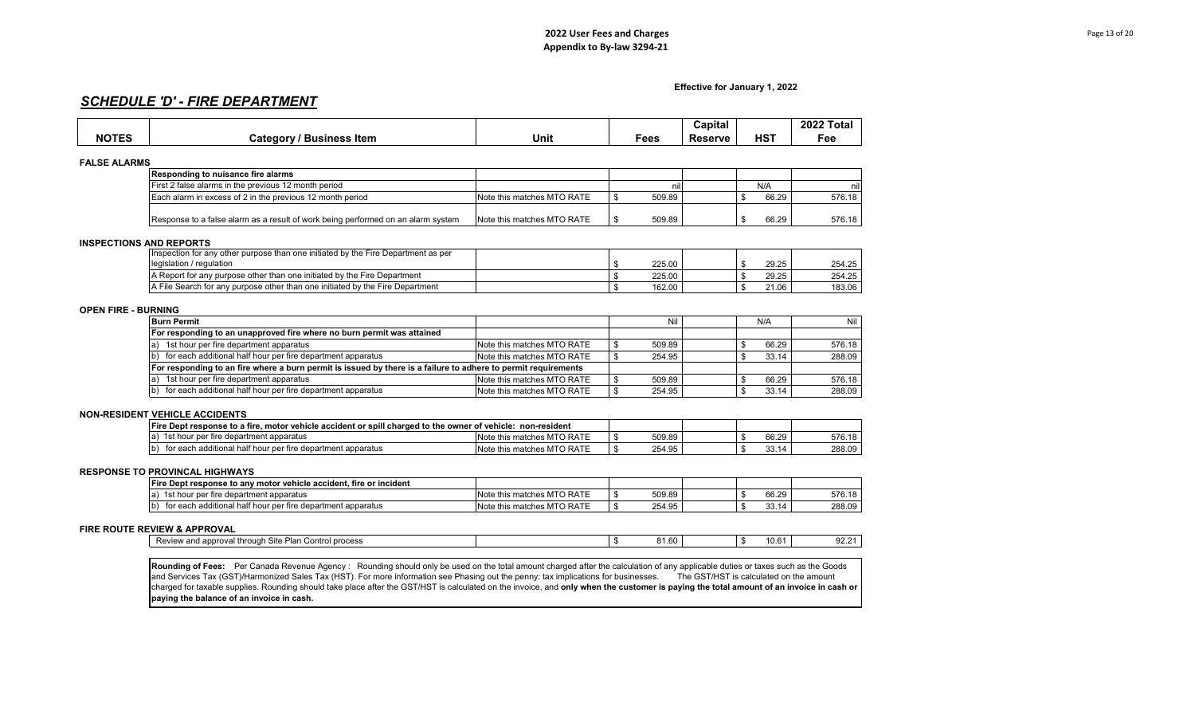**Effective for January 1, 2022**

# *SCHEDULE 'D' - FIRE DEPARTMENT*

|                            |                                                                                                                                                                                         |                            |              | Capital                                 |             | 2022 Total |
|----------------------------|-----------------------------------------------------------------------------------------------------------------------------------------------------------------------------------------|----------------------------|--------------|-----------------------------------------|-------------|------------|
| <b>NOTES</b>               | <b>Category / Business Item</b>                                                                                                                                                         | Unit                       | Fees         | <b>Reserve</b>                          | <b>HST</b>  | Fee        |
|                            |                                                                                                                                                                                         |                            |              |                                         |             |            |
| <b>FALSE ALARMS</b>        | Responding to nuisance fire alarms                                                                                                                                                      |                            |              |                                         |             |            |
|                            | First 2 false alarms in the previous 12 month period                                                                                                                                    |                            | nil          |                                         | N/A         | nil        |
|                            | Each alarm in excess of 2 in the previous 12 month period                                                                                                                               | Note this matches MTO RATE | \$<br>509.89 |                                         | \$<br>66.29 | 576.18     |
|                            |                                                                                                                                                                                         |                            |              |                                         |             |            |
|                            | Response to a false alarm as a result of work being performed on an alarm system                                                                                                        | Note this matches MTO RATE | \$<br>509.89 |                                         | 66.29<br>\$ | 576.18     |
|                            | <b>INSPECTIONS AND REPORTS</b>                                                                                                                                                          |                            |              |                                         |             |            |
|                            | Inspection for any other purpose than one initiated by the Fire Department as per                                                                                                       |                            |              |                                         |             |            |
|                            | legislation / regulation                                                                                                                                                                |                            | \$<br>225.00 |                                         | \$<br>29.25 | 254.25     |
|                            | A Report for any purpose other than one initiated by the Fire Department                                                                                                                |                            | \$<br>225.00 |                                         | \$<br>29.25 | 254.25     |
|                            | A File Search for any purpose other than one initiated by the Fire Department                                                                                                           |                            | \$<br>162.00 |                                         | \$<br>21.06 | 183.06     |
|                            |                                                                                                                                                                                         |                            |              |                                         |             |            |
| <b>OPEN FIRE - BURNING</b> |                                                                                                                                                                                         |                            |              |                                         |             |            |
|                            | <b>Burn Permit</b>                                                                                                                                                                      |                            | Nil          |                                         | N/A         | Nil        |
|                            | For responding to an unapproved fire where no burn permit was attained                                                                                                                  |                            |              |                                         |             |            |
|                            | a) 1st hour per fire department apparatus                                                                                                                                               | Note this matches MTO RATE | 509.89<br>\$ |                                         | \$<br>66.29 | 576.18     |
|                            | b) for each additional half hour per fire department apparatus                                                                                                                          | Note this matches MTO RATE | \$<br>254.95 |                                         | \$<br>33.14 | 288.09     |
|                            | For responding to an fire where a burn permit is issued by there is a failure to adhere to permit requirements                                                                          |                            |              |                                         |             |            |
|                            | 1st hour per fire department apparatus                                                                                                                                                  | Note this matches MTO RATE | 509.89<br>\$ |                                         | \$<br>66.29 | 576.18     |
|                            | for each additional half hour per fire department apparatus                                                                                                                             | Note this matches MTO RATE | \$<br>254.95 |                                         | \$<br>33.14 | 288.09     |
|                            |                                                                                                                                                                                         |                            |              |                                         |             |            |
|                            | <b>NON-RESIDENT VEHICLE ACCIDENTS</b>                                                                                                                                                   |                            |              |                                         |             |            |
|                            | Fire Dept response to a fire, motor vehicle accident or spill charged to the owner of vehicle: non-resident                                                                             |                            |              |                                         |             |            |
|                            | a) 1st hour per fire department apparatus                                                                                                                                               | Note this matches MTO RATE | 509.89<br>\$ |                                         | \$<br>66.29 | 576.18     |
|                            | for each additional half hour per fire department apparatus                                                                                                                             | Note this matches MTO RATE | \$<br>254.95 |                                         | \$<br>33.14 | 288.09     |
|                            |                                                                                                                                                                                         |                            |              |                                         |             |            |
|                            | <b>RESPONSE TO PROVINCAL HIGHWAYS</b>                                                                                                                                                   |                            |              |                                         |             |            |
|                            | Fire Dept response to any motor vehicle accident, fire or incident                                                                                                                      |                            |              |                                         |             |            |
|                            | a) 1st hour per fire department apparatus                                                                                                                                               | Note this matches MTO RATE | \$<br>509.89 |                                         | \$<br>66.29 | 576.18     |
|                            | for each additional half hour per fire department apparatus                                                                                                                             | Note this matches MTO RATE | \$<br>254.95 |                                         | \$<br>33.14 | 288.09     |
|                            |                                                                                                                                                                                         |                            |              |                                         |             |            |
|                            | <b>FIRE ROUTE REVIEW &amp; APPROVAL</b>                                                                                                                                                 |                            |              |                                         |             |            |
|                            | Review and approval through Site Plan Control process                                                                                                                                   |                            | \$<br>81.60  |                                         | \$<br>10.61 | 92.21      |
|                            |                                                                                                                                                                                         |                            |              |                                         |             |            |
|                            | Rounding of Fees: Per Canada Revenue Agency: Rounding should only be used on the total amount charged after the calculation of any applicable duties or taxes such as the Goods         |                            |              |                                         |             |            |
|                            | and Services Tax (GST)/Harmonized Sales Tax (HST). For more information see Phasing out the penny: tax implications for businesses.                                                     |                            |              | The GST/HST is calculated on the amount |             |            |
|                            | charged for taxable supplies. Rounding should take place after the GST/HST is calculated on the invoice, and only when the customer is paying the total amount of an invoice in cash or |                            |              |                                         |             |            |
|                            | paying the balance of an invoice in cash.                                                                                                                                               |                            |              |                                         |             |            |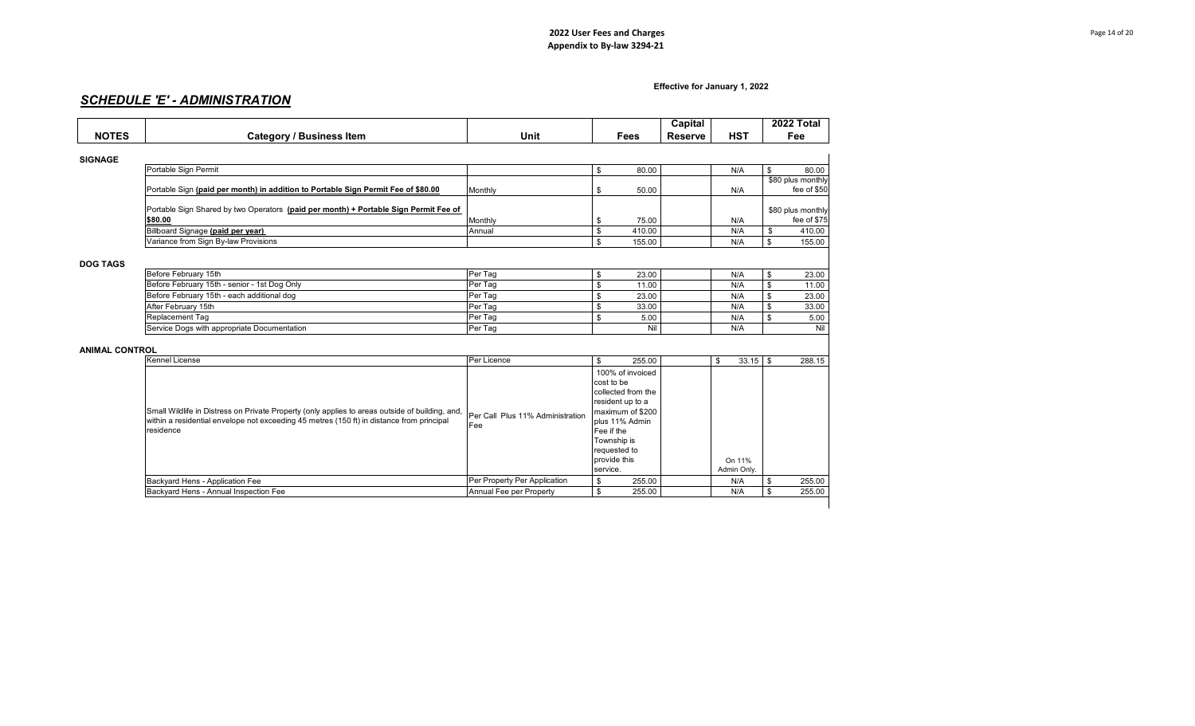## **Effective for January 1, 2022**

# *SCHEDULE 'E' - ADMINISTRATION*

|                       |                                                                                                                                                                                              |                                  |                                    | Capital        |                  | 2022 Total                       |     |
|-----------------------|----------------------------------------------------------------------------------------------------------------------------------------------------------------------------------------------|----------------------------------|------------------------------------|----------------|------------------|----------------------------------|-----|
| <b>NOTES</b>          | <b>Category / Business Item</b>                                                                                                                                                              | Unit                             | <b>Fees</b>                        | <b>Reserve</b> | <b>HST</b>       | Fee                              |     |
|                       |                                                                                                                                                                                              |                                  |                                    |                |                  |                                  |     |
| <b>SIGNAGE</b>        |                                                                                                                                                                                              |                                  |                                    |                |                  |                                  |     |
|                       | Portable Sign Permit                                                                                                                                                                         |                                  | \$<br>80.00                        |                | N/A              | \$<br>80.00                      |     |
|                       | Portable Sign (paid per month) in addition to Portable Sign Permit Fee of \$80.00                                                                                                            | Monthly                          | \$<br>50.00                        |                | N/A              | \$80 plus monthly<br>fee of \$50 |     |
|                       |                                                                                                                                                                                              |                                  |                                    |                |                  |                                  |     |
|                       | Portable Sign Shared by two Operators (paid per month) + Portable Sign Permit Fee of                                                                                                         |                                  |                                    |                |                  | \$80 plus monthly                |     |
|                       | \$80.00                                                                                                                                                                                      | Monthly                          | 75.00<br>\$                        |                | N/A              | fee of \$75                      |     |
|                       | Billboard Signage (paid per year)                                                                                                                                                            | Annual                           | \$<br>410.00                       |                | N/A              | \$<br>410.00                     |     |
|                       | Variance from Sign By-law Provisions                                                                                                                                                         |                                  | \$<br>155.00                       |                | N/A              | \$<br>155.00                     |     |
|                       |                                                                                                                                                                                              |                                  |                                    |                |                  |                                  |     |
| <b>DOG TAGS</b>       |                                                                                                                                                                                              |                                  |                                    |                |                  |                                  |     |
|                       | Before February 15th                                                                                                                                                                         | Per Tag                          | 23.00<br>\$                        |                | N/A              | \$<br>23.00                      |     |
|                       | Before February 15th - senior - 1st Dog Only                                                                                                                                                 | Per Tag                          | \$<br>11.00                        |                | N/A              | \$<br>11.00                      |     |
|                       | Before February 15th - each additional dog                                                                                                                                                   | Per Tag                          | \$<br>23.00                        |                | N/A              | \$<br>23.00                      |     |
|                       | After February 15th                                                                                                                                                                          | Per Tag                          | \$<br>33.00                        |                | N/A              | \$<br>33.00                      |     |
|                       | <b>Replacement Tag</b>                                                                                                                                                                       | Per Tag                          | \$<br>5.00                         |                | N/A              | \$<br>5.00                       |     |
|                       | Service Dogs with appropriate Documentation                                                                                                                                                  | Per Tag                          | Nil                                |                | N/A              |                                  | Nil |
|                       |                                                                                                                                                                                              |                                  |                                    |                |                  |                                  |     |
| <b>ANIMAL CONTROL</b> |                                                                                                                                                                                              |                                  |                                    |                |                  |                                  |     |
|                       | <b>Kennel License</b>                                                                                                                                                                        | Per Licence                      | \$<br>255.00                       |                | \$<br>$33.15$ \$ | 288.15                           |     |
|                       |                                                                                                                                                                                              |                                  | 100% of invoiced                   |                |                  |                                  |     |
|                       |                                                                                                                                                                                              |                                  | cost to be                         |                |                  |                                  |     |
|                       |                                                                                                                                                                                              |                                  | collected from the                 |                |                  |                                  |     |
|                       |                                                                                                                                                                                              |                                  | resident up to a                   |                |                  |                                  |     |
|                       | Small Wildlife in Distress on Private Property (only applies to areas outside of building, and,<br>within a residential envelope not exceeding 45 metres (150 ft) in distance from principal | Per Call Plus 11% Administration | maximum of \$200<br>plus 11% Admin |                |                  |                                  |     |
|                       | residence                                                                                                                                                                                    | Fee                              | Fee if the                         |                |                  |                                  |     |
|                       |                                                                                                                                                                                              |                                  | Township is                        |                |                  |                                  |     |
|                       |                                                                                                                                                                                              |                                  | requested to                       |                |                  |                                  |     |
|                       |                                                                                                                                                                                              |                                  | provide this                       |                | On 11%           |                                  |     |
|                       |                                                                                                                                                                                              |                                  | service.                           |                | Admin Only.      |                                  |     |
|                       | Backyard Hens - Application Fee                                                                                                                                                              | Per Property Per Application     | \$<br>255.00                       |                | N/A              | \$<br>255.00                     |     |
|                       | Backvard Hens - Annual Inspection Fee                                                                                                                                                        | Annual Fee per Property          | $\bullet$<br>255.00                |                | N/A              | \$<br>255.00                     |     |
|                       |                                                                                                                                                                                              |                                  |                                    |                |                  |                                  |     |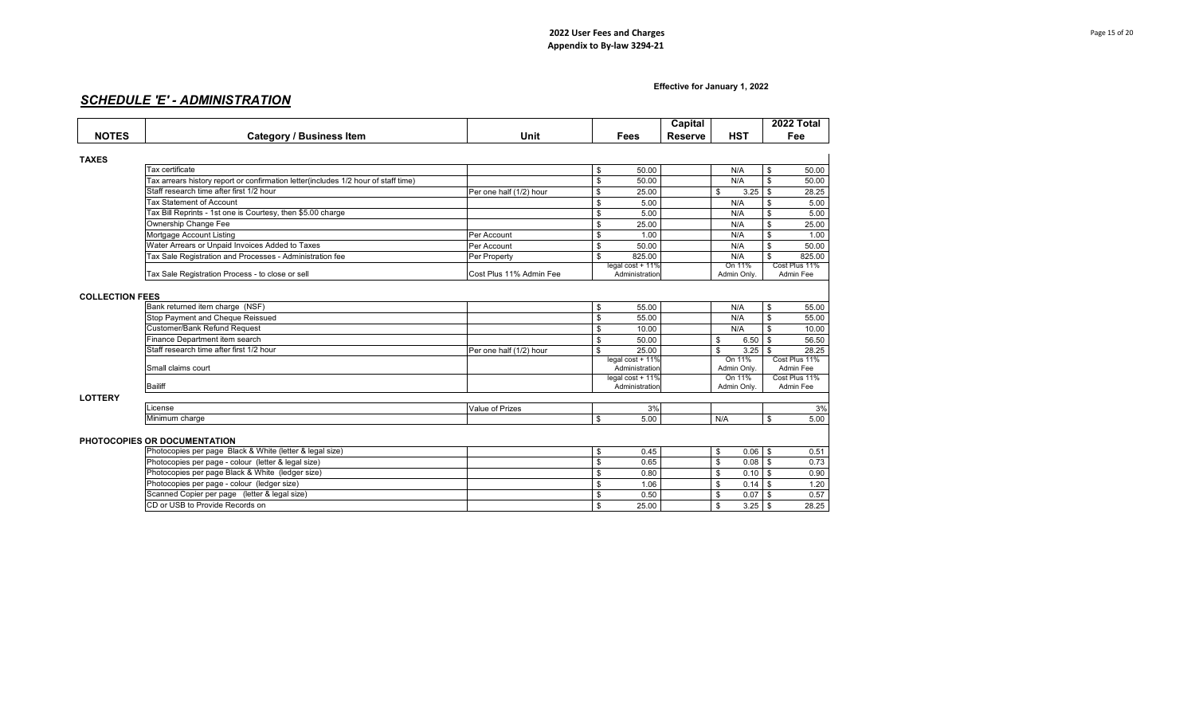## **Effective for January 1, 2022**

# *SCHEDULE 'E' - ADMINISTRATION*

|                        |                                                                                    |                         |                                    | Capital        |                       |           |                    | 2022 Total                 |
|------------------------|------------------------------------------------------------------------------------|-------------------------|------------------------------------|----------------|-----------------------|-----------|--------------------|----------------------------|
| <b>NOTES</b>           | <b>Category / Business Item</b>                                                    | Unit                    | <b>Fees</b>                        | <b>Reserve</b> | <b>HST</b>            |           |                    | Fee                        |
| <b>TAXES</b>           |                                                                                    |                         |                                    |                |                       |           |                    |                            |
|                        | <b>Tax certificate</b>                                                             |                         | \$<br>50.00                        |                | N/A                   |           | \$                 | 50.00                      |
|                        | Tax arrears history report or confirmation letter(includes 1/2 hour of staff time) |                         | \$<br>50.00                        |                | N/A                   |           | \$                 | 50.00                      |
|                        | Staff research time after first 1/2 hour                                           | Per one half (1/2) hour | \$<br>25.00                        |                | \$                    | 3.25      | \$                 | 28.25                      |
|                        | <b>Tax Statement of Account</b>                                                    |                         | \$<br>5.00                         |                | N/A                   |           | \$                 | 5.00                       |
|                        | Tax Bill Reprints - 1st one is Courtesy, then \$5.00 charge                        |                         | \$<br>5.00                         |                | N/A                   |           | \$                 | 5.00                       |
|                        | Ownership Change Fee                                                               |                         | \$<br>25.00                        |                | N/A                   |           | \$                 | 25.00                      |
|                        | Mortgage Account Listing                                                           | Per Account             | \$<br>1.00                         |                | N/A                   |           | \$                 | 1.00                       |
|                        | Water Arrears or Unpaid Invoices Added to Taxes                                    | Per Account             | \$<br>50.00                        |                | N/A                   |           | \$                 | 50.00                      |
|                        | Tax Sale Registration and Processes - Administration fee                           | Per Property            | \$<br>825.00                       |                | N/A                   |           | \$                 | 825.00                     |
|                        | Tax Sale Registration Process - to close or sell                                   | Cost Plus 11% Admin Fee | legal cost + 11%<br>Administration |                | On 11%<br>Admin Only. |           |                    | Cost Plus 11%<br>Admin Fee |
| <b>COLLECTION FEES</b> |                                                                                    |                         |                                    |                |                       |           |                    |                            |
|                        | Bank returned item charge (NSF)                                                    |                         | \$<br>55.00                        |                | N/A                   |           | \$                 | 55.00                      |
|                        | Stop Payment and Cheque Reissued                                                   |                         | \$<br>55.00                        |                | N/A                   |           | \$                 | 55.00                      |
|                        | Customer/Bank Refund Request                                                       |                         | \$<br>10.00                        |                | N/A                   |           | \$                 | 10.00                      |
|                        | Finance Department item search                                                     |                         | \$<br>50.00                        |                | \$                    | 6.50      | \$                 | 56.50                      |
|                        | Staff research time after first 1/2 hour                                           | Per one half (1/2) hour | \$<br>25.00                        |                | \$                    | 3.25      | $\mathbf{\hat{s}}$ | 28.25                      |
|                        | Small claims court                                                                 |                         | legal cost + 11%<br>Administration |                | Admin Only.           | On 11%    |                    | Cost Plus 11%<br>Admin Fee |
|                        |                                                                                    |                         | legal cost + 11%                   |                | On 11%                |           |                    | Cost Plus 11%              |
|                        | <b>Bailiff</b>                                                                     |                         | Administration                     |                | Admin Only.           |           |                    | Admin Fee                  |
| <b>LOTTERY</b>         |                                                                                    |                         |                                    |                |                       |           |                    |                            |
|                        | icense                                                                             | Value of Prizes         | 3%                                 |                |                       |           |                    | 3%                         |
|                        | Minimum charge                                                                     |                         | \$<br>5.00                         |                | N/A                   |           | \$                 | 5.00                       |
|                        | PHOTOCOPIES OR DOCUMENTATION                                                       |                         |                                    |                |                       |           |                    |                            |
|                        | Photocopies per page Black & White (letter & legal size)                           |                         | \$<br>0.45                         |                | \$                    | $0.06$ \$ |                    | 0.51                       |
|                        | Photocopies per page - colour (letter & legal size)                                |                         | \$<br>0.65                         |                | \$                    | $0.08$ \$ |                    | 0.73                       |
|                        | Photocopies per page Black & White (ledger size)                                   |                         | \$<br>0.80                         |                | \$                    | 0.10      | $\mathfrak{s}$     | 0.90                       |
|                        | Photocopies per page - colour (ledger size)                                        |                         | \$<br>1.06                         |                | \$                    | $0.14$ \$ |                    | 1.20                       |
|                        | Scanned Copier per page (letter & legal size)                                      |                         | 0.50                               |                | \$                    | 0.07      | \$                 | 0.57                       |
|                        | CD or USB to Provide Records on                                                    |                         | \$<br>25.00                        |                | \$                    | $3.25$ \$ |                    | 28.25                      |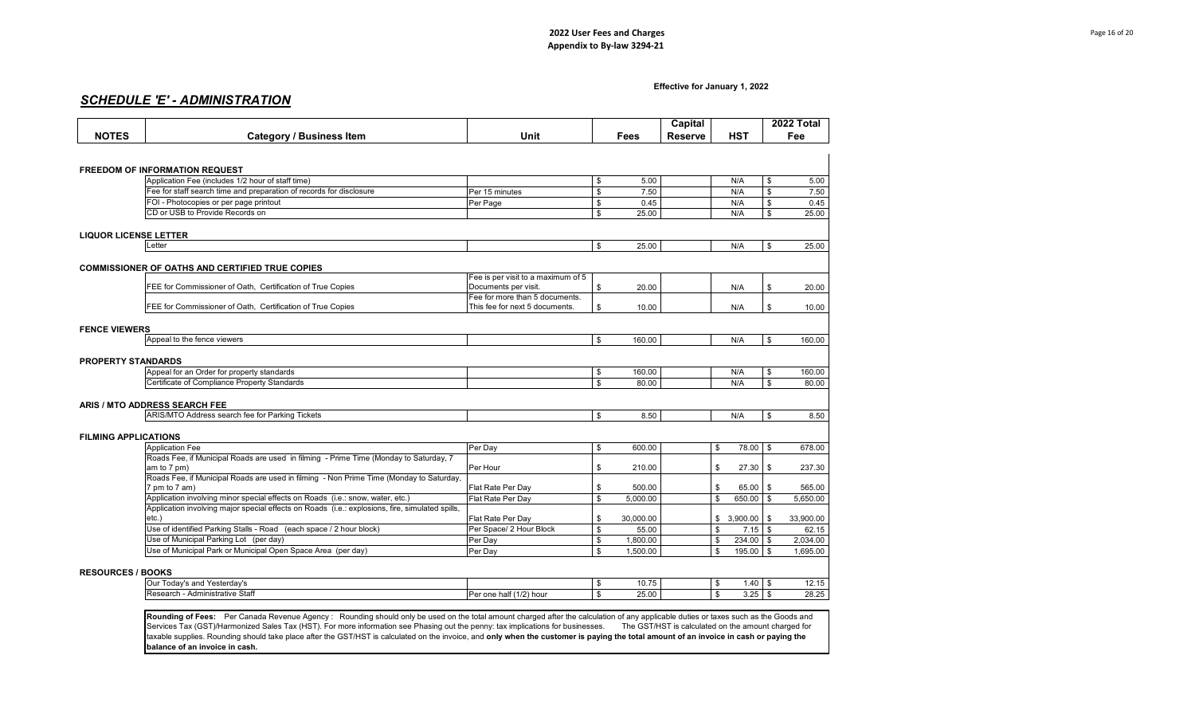#### **Effective for January 1, 2022**

## *SCHEDULE 'E' - ADMINISTRATION*

|                              |                                                                                                                                                                                   |                                                        |                                  | Capital        |                         | 2022 Total      |
|------------------------------|-----------------------------------------------------------------------------------------------------------------------------------------------------------------------------------|--------------------------------------------------------|----------------------------------|----------------|-------------------------|-----------------|
| <b>NOTES</b>                 | <b>Category / Business Item</b>                                                                                                                                                   | Unit                                                   | Fees                             | <b>Reserve</b> | <b>HST</b>              | Fee             |
|                              |                                                                                                                                                                                   |                                                        |                                  |                |                         |                 |
|                              |                                                                                                                                                                                   |                                                        |                                  |                |                         |                 |
|                              | <b>FREEDOM OF INFORMATION REQUEST</b>                                                                                                                                             |                                                        |                                  |                |                         |                 |
|                              | Application Fee (includes 1/2 hour of staff time)                                                                                                                                 |                                                        | \$                               | 5.00           | N/A                     | \$<br>5.00      |
|                              | Fee for staff search time and preparation of records for disclosure                                                                                                               | Per 15 minutes                                         | \$                               | 7.50           | N/A                     | \$<br>7.50      |
|                              | FOI - Photocopies or per page printout                                                                                                                                            | Per Page                                               | \$                               | 0.45           | N/A                     | \$<br>0.45      |
|                              | CD or USB to Provide Records on                                                                                                                                                   |                                                        | \$<br>25.00                      |                | N/A                     | \$<br>25.00     |
|                              |                                                                                                                                                                                   |                                                        |                                  |                |                         |                 |
| <b>LIQUOR LICENSE LETTER</b> |                                                                                                                                                                                   |                                                        |                                  |                |                         |                 |
|                              | Letter                                                                                                                                                                            |                                                        | \$<br>25.00                      |                | N/A                     | \$<br>25.00     |
|                              |                                                                                                                                                                                   |                                                        |                                  |                |                         |                 |
|                              | <b>COMMISSIONER OF OATHS AND CERTIFIED TRUE COPIES</b>                                                                                                                            |                                                        |                                  |                |                         |                 |
|                              |                                                                                                                                                                                   | Fee is per visit to a maximum of 5                     |                                  |                |                         |                 |
|                              | FEE for Commissioner of Oath, Certification of True Copies                                                                                                                        | Documents per visit.<br>Fee for more than 5 documents. | \$<br>20.00                      |                | N/A                     | \$<br>20.00     |
|                              | FEE for Commissioner of Oath, Certification of True Copies                                                                                                                        | This fee for next 5 documents.                         | \$<br>10.00                      |                | N/A                     | \$<br>10.00     |
|                              |                                                                                                                                                                                   |                                                        |                                  |                |                         |                 |
| <b>FENCE VIEWERS</b>         |                                                                                                                                                                                   |                                                        |                                  |                |                         |                 |
|                              | Appeal to the fence viewers                                                                                                                                                       |                                                        | \$<br>160.00                     |                | N/A                     | \$<br>160.00    |
|                              |                                                                                                                                                                                   |                                                        |                                  |                |                         |                 |
| <b>PROPERTY STANDARDS</b>    |                                                                                                                                                                                   |                                                        |                                  |                |                         |                 |
|                              | Appeal for an Order for property standards                                                                                                                                        |                                                        | \$<br>160.00                     |                | N/A                     | \$<br>160.00    |
|                              | Certificate of Compliance Property Standards                                                                                                                                      |                                                        | $\overline{\mathbf{s}}$<br>80.00 |                | N/A                     | \$<br>80.00     |
|                              |                                                                                                                                                                                   |                                                        |                                  |                |                         |                 |
|                              | ARIS / MTO ADDRESS SEARCH FEE                                                                                                                                                     |                                                        |                                  |                |                         |                 |
|                              | ARIS/MTO Address search fee for Parking Tickets                                                                                                                                   |                                                        | \$                               | 8.50           | N/A                     | \$<br>8.50      |
|                              |                                                                                                                                                                                   |                                                        |                                  |                |                         |                 |
| <b>FILMING APPLICATIONS</b>  |                                                                                                                                                                                   |                                                        |                                  |                |                         |                 |
|                              | <b>Application Fee</b>                                                                                                                                                            | Per Day                                                | \$<br>600.00                     |                | \$<br>78.00             | \$<br>678.00    |
|                              | Roads Fee, if Municipal Roads are used in filming - Prime Time (Monday to Saturday, 7                                                                                             |                                                        |                                  |                |                         |                 |
|                              | am to 7 pm)                                                                                                                                                                       | Per Hour                                               | \$<br>210.00                     |                | \$<br>27.30             | \$<br>237.30    |
|                              | Roads Fee, if Municipal Roads are used in filming - Non Prime Time (Monday to Saturday,                                                                                           |                                                        |                                  |                |                         |                 |
|                              | 7 pm to 7 am)                                                                                                                                                                     | Flat Rate Per Day                                      | \$<br>500.00                     |                | \$<br>65.00             | \$<br>565.00    |
|                              | Application involving minor special effects on Roads (i.e.: snow, water, etc.)<br>Application involving major special effects on Roads (i.e.: explosions, fire, simulated spills, | Flat Rate Per Day                                      | $\mathbf{s}$<br>5.000.00         |                | $\mathbf{\$}$<br>650.00 | \$<br>5.650.00  |
|                              | $etc.$ )                                                                                                                                                                          | Flat Rate Per Day                                      | \$<br>30,000.00                  |                | \$3,900.00              | \$<br>33,900.00 |
|                              | Use of identified Parking Stalls - Road (each space / 2 hour block)                                                                                                               | Per Space/ 2 Hour Block                                | \$<br>55.00                      |                | \$<br>7.15              | \$<br>62.15     |
|                              | Use of Municipal Parking Lot (per day)                                                                                                                                            | Per Day                                                | \$<br>1,800.00                   |                | \$<br>234.00            | \$<br>2,034.00  |
|                              | Use of Municipal Park or Municipal Open Space Area (per day)                                                                                                                      | Per Day                                                | \$<br>1,500.00                   |                | \$<br>195.00            | \$<br>1,695.00  |
|                              |                                                                                                                                                                                   |                                                        |                                  |                |                         |                 |
| <b>RESOURCES / BOOKS</b>     |                                                                                                                                                                                   |                                                        |                                  |                |                         |                 |
|                              | Our Today's and Yesterday's                                                                                                                                                       |                                                        | \$<br>10.75                      |                | $1.40$ \\$<br>\$        | 12.15           |
|                              | Research - Administrative Staff                                                                                                                                                   | Per one half (1/2) hour                                | \$<br>25.00                      |                | $\mathbf{\$}$<br>3.25   | \$<br>28.25     |
|                              |                                                                                                                                                                                   |                                                        |                                  |                |                         |                 |
|                              |                                                                                                                                                                                   |                                                        |                                  |                |                         |                 |

Rounding of Fees: Per Canada Revenue Agency : Rounding should only be used on the total amount charged after the calculation of any applicable duties or taxes such as the Goods and Services Tax (GST)/Harmonized Sales Tax (HST). For more information see Phasing out the penny: tax implications for businesses. The GST/HST is calculated on the amount charged for taxable supplies. Rounding should take place after the GST/HST is calculated on the invoice, and **only when the customer is paying the total amount of an invoice in cash or paying the balance of an invoice in cash.**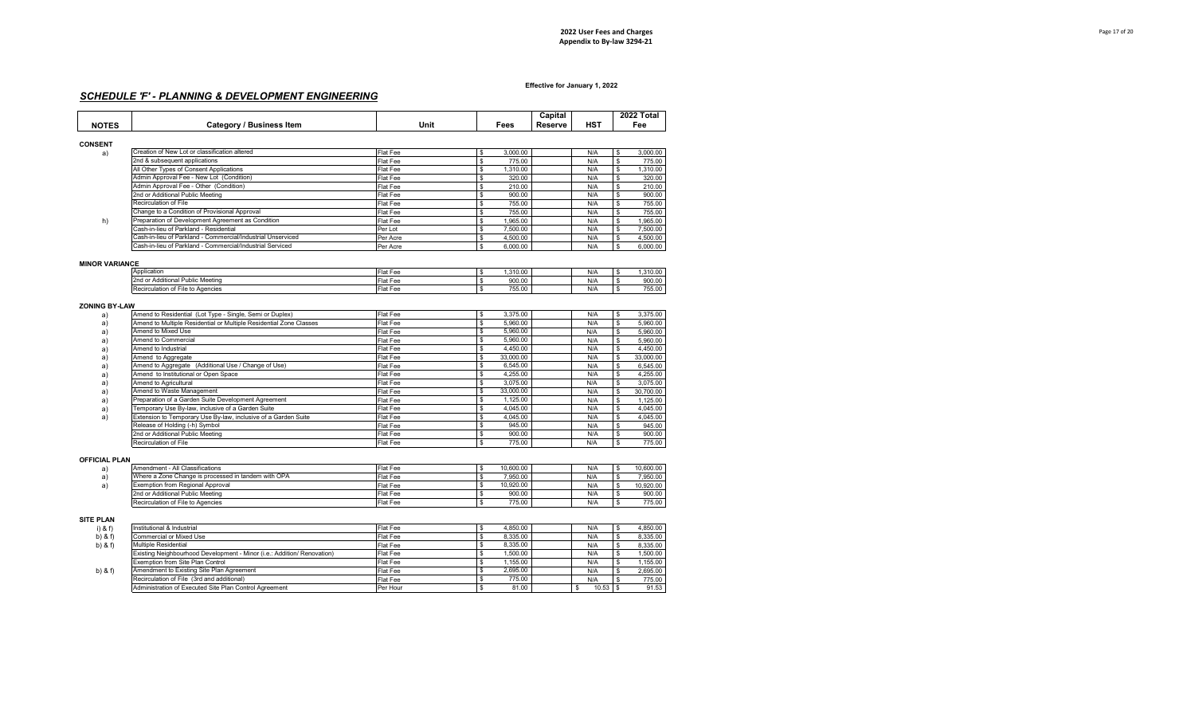## *SCHEDULE 'F' - PLANNING & DEVELOPMENT ENGINEERING*

| <b>NOTES</b>   | <b>Category / Business Item</b>               | Unit     | Fees     | Capital<br>Reserve | HST | 2022 Total<br>Fee |
|----------------|-----------------------------------------------|----------|----------|--------------------|-----|-------------------|
| <b>CONSENT</b> |                                               |          |          |                    |     |                   |
| a)             | Creation of New Lot or classification altered | Flat Fee | 3.000.00 |                    | N/A | 3,000.00          |
|                | 2nd & subsequent applications                 | Flat Fee | 775.00   |                    | N/A | 775.00            |
|                | All Other Tynes of Consent Annlications       | Elot Fee | 1310.00  |                    | N/A | 1310.00           |

|    | All Other Types of Consent Applications                     | ⊩Hat Fee | 1.310.00 | N/A | 1.310.00 |
|----|-------------------------------------------------------------|----------|----------|-----|----------|
|    | Admin Approval Fee - New Lot (Condition)                    | Flat Fee | 320.00   | N/A | 320.00   |
|    | Admin Approval Fee - Other (Condition)                      | Flat Fee | 210.00   | N/A | 210.00   |
|    | 2nd or Additional Public Meeting                            | Flat Fee | 900.00   | N/A | 900.00   |
|    | Recirculation of File                                       | Flat Fee | 755.00   | N/A | 755.00   |
|    | Change to a Condition of Provisional Approval               | Flat Fee | 755.00   | N/A | 755.00   |
| h) | Preparation of Development Agreement as Condition           | Flat Fee | 1.965.00 | N/A | 1.965.00 |
|    | Cash-in-lieu of Parkland - Residential                      | Per Lot  | 7.500.00 | N/A | 7.500.00 |
|    | Cash-in-lieu of Parkland - Commercial/Industrial Unserviced | Per Acre | 4.500.00 | N/A | 4,500.00 |
|    | Cash-in-lieu of Parkland - Commercial/Industrial Serviced   | Per Acre | 6.000.00 | N/A | 6.000.00 |

#### **MINOR VARIANCE**

| -------                                            |          |          |     |          |
|----------------------------------------------------|----------|----------|-----|----------|
| Application                                        | Flat Fee | 1.310.00 | N/A | 1,310.00 |
| r Additional Public Meeting<br>2nd <sub>o</sub>    | Flat Fee | 900.00   | N/A | 900.00   |
| $\sim$ $\sim$<br>Recirculation of File to Agencies | Flat Fee | 755.00   | N/A | 755.00   |

#### **ZONING BY-LAW**

| a) | Amend to Residential (Lot Type - Single, Semi or Duplex)           | Flat Fee | 3.375.00  | N/A |    | 3.375.00  |
|----|--------------------------------------------------------------------|----------|-----------|-----|----|-----------|
| a) | Amend to Multiple Residential or Multiple Residential Zone Classes | Flat Fee | 5.960.00  | N/A | \$ | 5.960.00  |
| a) | Amend to Mixed Use                                                 | Flat Fee | 5.960.00  | N/A |    | 5.960.00  |
| a) | Amend to Commercial                                                | Flat Fee | 5.960.00  | N/A | S. | 5.960.00  |
| a) | Amend to Industrial                                                | Flat Fee | 4.450.00  | N/A |    | 4.450.00  |
| a) | Amend to Aggregate                                                 | Flat Fee | 33,000.00 | N/A |    | 33,000,00 |
| a) | Amend to Aggregate (Additional Use / Change of Use)                | Flat Fee | 6,545.00  | N/A | \$ | 6.545.00  |
| a) | Amend to Institutional or Open Space                               | Flat Fee | 4.255.00  | N/A |    | 4.255.00  |
| a) | Amend to Agricultural                                              | Flat Fee | 3.075.00  | N/A | \$ | 3.075.00  |
| a) | Amend to Waste Management                                          | Flat Fee | 33,000.00 | N/A |    | 30,700.00 |
| a) | Preparation of a Garden Suite Development Agreement                | Flat Fee | 1.125.00  | N/A |    | 1.125.00  |
| a) | Temporary Use By-law, inclusive of a Garden Suite                  | Flat Fee | 4.045.00  | N/A | \$ | 4.045.00  |
| a) | Extension to Temporary Use By-law, inclusive of a Garden Suite     | Flat Fee | 4.045.00  | N/A |    | 4.045.00  |
|    | Release of Holding (-h) Symbol                                     | Flat Fee | 945.00    | N/A |    | 945.00    |
|    | 2nd or Additional Public Meeting                                   | Flat Fee | 900.00    | N/A | \$ | 900.00    |
|    | Recirculation of File                                              | Flat Fee | 775.00    | N/A |    | 775.00    |

#### **OFFICIAL PLAN**

| Amendment - All Classifications                     | Flat Fee        | 10.600.00 | N/A | 10.600.00 |
|-----------------------------------------------------|-----------------|-----------|-----|-----------|
| Where a Zone Change is processed in tandem with OPA | Flat Fee        | 7.950.00  | N/F | 7,950.00  |
| <b>Exemption from Regional Approval</b>             | <b>Flat Fee</b> | 10.920.00 | N/A | 10.920.00 |
| 2nd or Additional Public Meeting                    | Flat Fee        | 900.00    | N/P | 900.00    |
| Recirculation of File to Agencies                   | <b>Flat Fee</b> | 775.00    | N/A | 775.00    |

#### **SITE PLAN**

| ----        |                                                                         |          |          |       |  |          |
|-------------|-------------------------------------------------------------------------|----------|----------|-------|--|----------|
| $i)$ & f)   | Institutional & Industrial                                              | Flat Fee | 4.850.00 | N/A   |  | 4,850.00 |
| $b)$ & f)   | Commercial or Mixed Use                                                 | Flat Fee | 8.335.00 | N/A   |  | 8.335.00 |
| b) $& 6$ f) | Multiple Residential                                                    | Flat Fee | 8.335.00 | N/A   |  | 8.335.00 |
|             | Existing Neighbourhood Development - Minor (i.e.: Addition/ Renovation) | Flat Fee | 1,500.00 | N/A   |  | 1.500.00 |
|             | <b>Exemption from Site Plan Control</b>                                 | Flat Fee | 1.155.00 | N/A   |  | 1.155.00 |
| $b)$ & f)   | Amendment to Existing Site Plan Agreement                               | Flat Fee | 2.695.00 | N/A   |  | 2,695.00 |
|             | Recirculation of File (3rd and additional)                              | Flat Fee | 775.00   | N/A   |  | 775.00   |
|             | Administration of Executed Site Plan Control Agreement                  | Per Hour | 81.00    | 10.53 |  | 91.53    |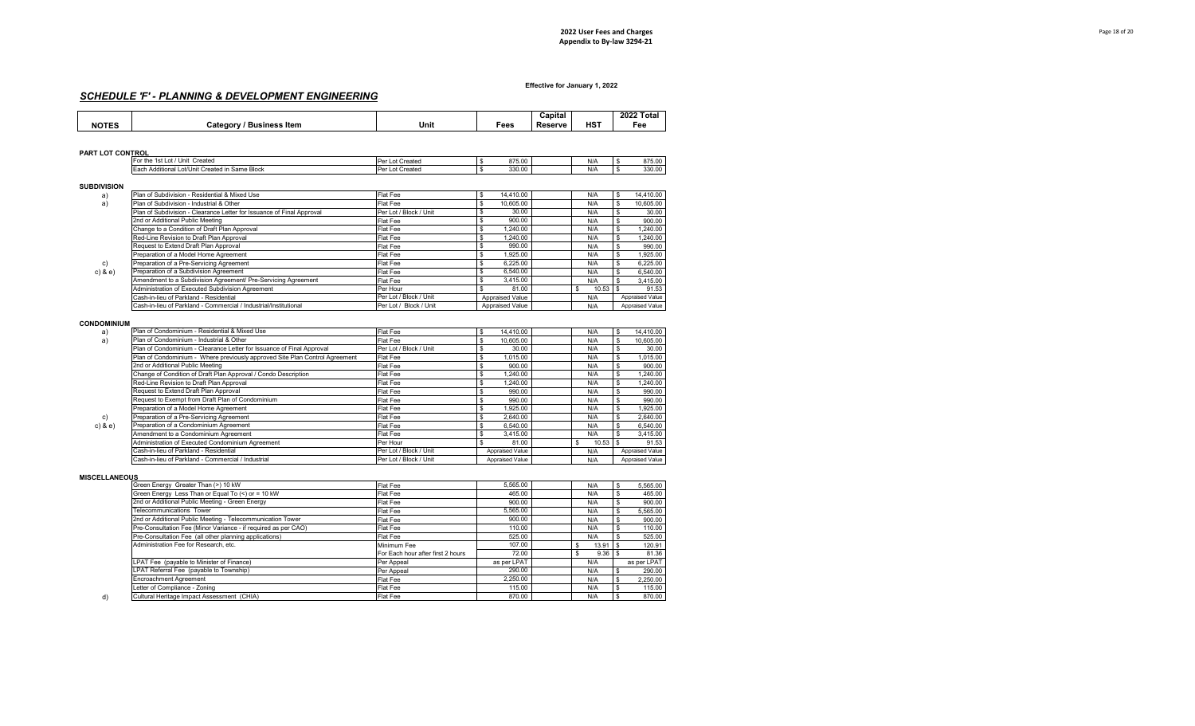## *SCHEDULE 'F' - PLANNING & DEVELOPMENT ENGINEERING*

|              |                                    |      |      | Capital |                 | 2022 Total |
|--------------|------------------------------------|------|------|---------|-----------------|------------|
| <b>NOTES</b> | <b>Business Item</b><br>َ ategoryک | Unit | Fees | Reserve | HS <sup>7</sup> | ≂ее        |

#### **PART LOT CONTROL**

| . .<br>$F^{\sim}$ | Created<br>Unit<br>Lot<br>∵ the<br>.                              | Created | 275.00<br>-21<br><u>073.UU</u> | N/A | 875.00 |
|-------------------|-------------------------------------------------------------------|---------|--------------------------------|-----|--------|
| $-1$              | ı Same Block<br>Lot/Unit C<br>Created 1<br>'tionai<br>Add<br>- 11 | Created | 330.00                         | N/A | 330.00 |

#### **SUBDIVISION**

| יוטוטו זשט  |                                                                       |                        |                 |                    |                 |
|-------------|-----------------------------------------------------------------------|------------------------|-----------------|--------------------|-----------------|
| a)          | Plan of Subdivision - Residential & Mixed Use                         | Flat Fee               | 14.410.00<br>S  | N/A                | 14.410.00       |
| a)          | Plan of Subdivision - Industrial & Other                              | Flat Fee               | 10.605.00       | N/A                | 10.605.00       |
|             | Plan of Subdivision - Clearance Letter for Issuance of Final Approval | Per Lot / Block / Unit | 30.00           | N/A                | 30.00           |
|             | 2nd or Additional Public Meeting                                      | Flat Fee               | 900.00          | N/A                | 900.00          |
|             | Change to a Condition of Draft Plan Approval                          | Flat Fee               | 1.240.00<br>S   | N/A                | .240.00         |
|             | Red-Line Revision to Draft Plan Approval                              | Flat Fee               | 1.240.00        | N/A                | 1.240.00        |
|             | Request to Extend Draft Plan Approval                                 | Flat Fee               | 990.00          | N/A                | 990.00          |
|             | Preparation of a Model Home Agreement                                 | Flat Fee               | 1,925.00        | N/A                | 1.925.00        |
| c)          | Preparation of a Pre-Servicing Agreement                              | Flat Fee               | 6.225.00        | N/A                | 6.225.00        |
| $c)$ & $e)$ | Preparation of a Subdivision Agreement                                | Flat Fee               | 6.540.00        | N/A                | 6.540.00        |
|             | Amendment to a Subdivision Agreement/ Pre-Servicing Agreement         | Flat Fee               | 3.415.00        | N/A                | 3.415.00        |
|             | Administration of Executed Subdivision Agreement                      | Per Hour               | 81.00           | $10.53$ \$<br>- \$ | 91.53           |
|             | Cash-in-lieu of Parkland - Residential                                | Per Lot / Block / Unit | Appraised Value | N/A                | Appraised Value |
|             | Cash-in-lieu of Parkland - Commercial / Industrial/Institutional      | Per Lot / Block / Unit | Appraised Value | N/A                | Appraised Value |

#### **CONDOMINIUM**

| a)          | Plan of Condominium - Residential & Mixed Use                               | Flat Fee               | <b>S</b><br>14.410.00 | N/A | \$.<br>14.410.00 |
|-------------|-----------------------------------------------------------------------------|------------------------|-----------------------|-----|------------------|
| a)          | Plan of Condominium - Industrial & Other                                    | Flat Fee               | 10.605.00             | N/A | 10.605.00<br>\$. |
|             | Plan of Condominium - Clearance Letter for Issuance of Final Approval       | Per Lot / Block / Unit | 30.00                 | N/A | 30.00            |
|             | Plan of Condominium - Where previously approved Site Plan Control Agreement | Flat Fee               | 1.015.00              | N/A | 1.015.00         |
|             | 2nd or Additional Public Meeting                                            | Flat Fee               | 900.00                | N/A | 900.00           |
|             | Change of Condition of Draft Plan Approval / Condo Description              | Flat Fee               | 1.240.00              | N/A | 1.240.00         |
|             | Red-Line Revision to Draft Plan Approval                                    | Flat Fee               | 1.240.00              | N/A | 1.240.00         |
|             | Request to Extend Draft Plan Approval                                       | Flat Fee               | 990.00                | N/A | 990.00           |
|             | Request to Exempt from Draft Plan of Condominium                            | Flat Fee               | 990.00                | N/A | 990.00           |
|             | Preparation of a Model Home Agreement                                       | Flat Fee               | 1.925.00              | N/A | 1.925.00         |
| c)          | Preparation of a Pre-Servicing Agreement                                    | Flat Fee               | 2.640.00              | N/A | 2.640.00         |
| $c)$ & $e)$ | Preparation of a Condominium Agreement                                      | Flat Fee               | 6.540.00              | N/A | 6,540.00         |
|             | Amendment to a Condominium Agreement                                        | Flat Fee               | 3.415.00              | N/A | 3.415.00         |
|             | Administration of Executed Condominium Agreement                            | Per Hour               | 81.00                 |     | 91.53            |
|             | Cash-in-lieu of Parkland - Residential                                      | Per Lot / Block / Unit | Appraised Value       | N/A | Appraised Value  |
|             | Cash-in-lieu of Parkland - Commercial / Industrial                          | Per Lot / Block / Unit | Appraised Value       | N/A | Appraised Value  |

### **MISCELLANEOUS**

| Green Energy Greater Than (>) 10 kW                            | Flat Fee                          | 5.565.00    | N/A   | 5,565.00    |
|----------------------------------------------------------------|-----------------------------------|-------------|-------|-------------|
| Green Energy Less Than or Equal To (<) or = 10 kW              | Flat Fee                          | 465.00      | N/A   | 465.00      |
| 2nd or Additional Public Meeting - Green Energy                | Flat Fee                          | 900.00      | N/A   | 900.00      |
| Telecommunications Tower                                       | Flat Fee                          | 5.565.00    | N/A   | 5,565.00    |
| 2nd or Additional Public Meeting - Telecommunication Tower     | Flat Fee                          | 900.00      | N/A   | 900.00      |
| Pre-Consultation Fee (Minor Variance - if required as per CAO) | Flat Fee                          | 110.00      | N/A   | 110.00      |
| Pre-Consultation Fee (all other planning applications)         | Flat Fee                          | 525.00      | N/A   | 525.00      |
| Administration Fee for Research, etc.                          | Minimum Fee                       | 107.00      | 13.91 | 120.91      |
|                                                                | For Each hour after first 2 hours | 72.00       | 9.36  | 81.36       |
| LPAT Fee (payable to Minister of Finance)                      | Per Appeal                        | as per LPAT | N/A   | as per LPAT |
| LPAT Referral Fee (payable to Township)                        | Per Appeal                        | 290.00      | N/A   | 290.00      |
| Encroachment Agreement                                         | Flat Fee                          | 2.250.00    | N/A   | 2.250.00    |
| Letter of Compliance - Zoning                                  | Flat Fee                          | 115.00      | N/A   | 115.00      |
| Cultural Heritage Impact Assessment (CHIA)                     | Flat Fee                          | 870.00      | N/A   | 870.00      |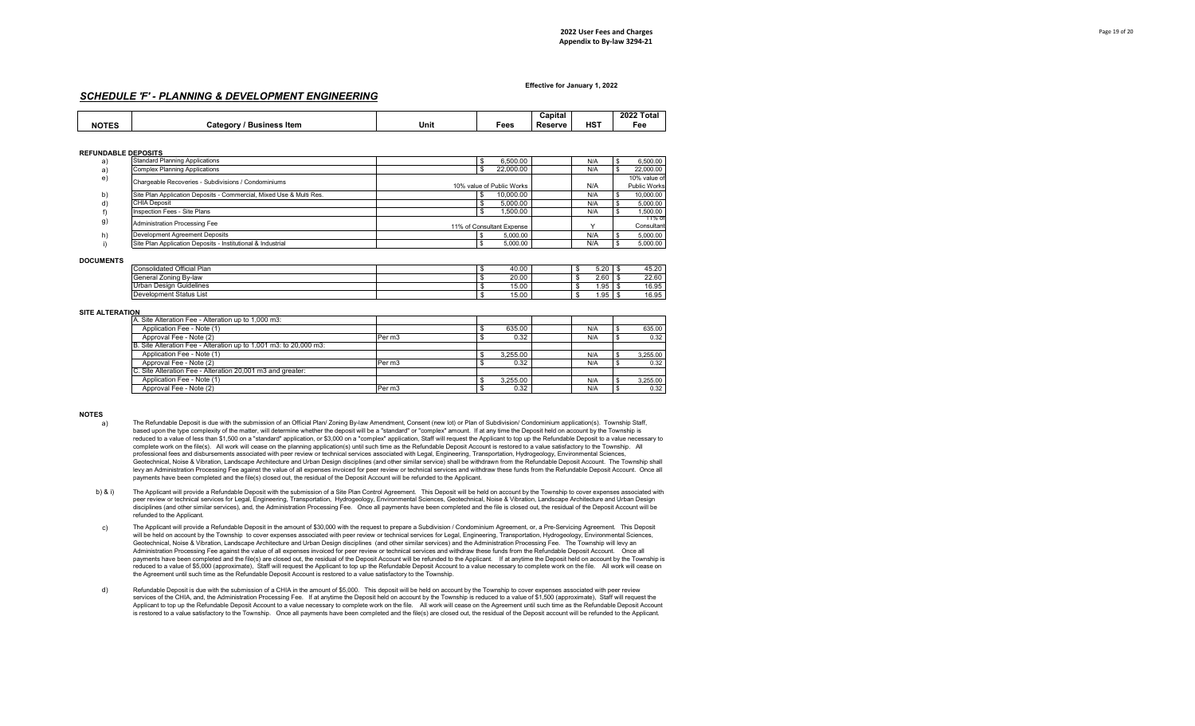### *SCHEDULE 'F' - PLANNING & DEVELOPMENT ENGINEERING*

|              |                                    |      |      | $\sim$<br>Capital |     | 2022 Total |
|--------------|------------------------------------|------|------|-------------------|-----|------------|
| <b>NOTES</b> | <b>Business Item</b><br>َ category | Unit | Fees | Reserve           | HST | Fee        |

#### **REFUNDABLE DEPOSITS**

| a) | <b>Standard Planning Applications</b>                               | 6.500.00                  | N/A | 6,500.00     |
|----|---------------------------------------------------------------------|---------------------------|-----|--------------|
| a) | <b>Complex Planning Applications</b>                                | 22.000.00                 | N/A | 22,000.00    |
| e) | Chargeable Recoveries - Subdivisions / Condominiums                 |                           |     | 10% value of |
|    |                                                                     | 10% value of Public Works | N/A | Public Works |
| b) | Site Plan Application Deposits - Commercial, Mixed Use & Multi Res. | 10.000.00                 | N/A | 10,000.00    |
| d) | <b>CHIA Deposit</b>                                                 | 5.000.00                  | N/A | 5,000.00     |
|    | Inspection Fees - Site Plans                                        | 1.500.00                  | N/A | 1,500.00     |
| g) | Administration Processing Fee                                       |                           |     | 11% of       |
|    |                                                                     | 11% of Consultant Expense |     | Consultant   |
| h) | Development Agreement Deposits                                      | 5.000.00                  | N/A | 5,000.00     |
|    | Site Plan Application Deposits - Institutional & Industrial         | 5,000.00                  | N/A | 5,000.00     |

#### **DOCUMENTS**

| Consolidated Official Plan  |  | 40.00 |  | $-$ 00<br>5.20 | 45.20 |
|-----------------------------|--|-------|--|----------------|-------|
| i Zoning Bv-law<br>General  |  | 20.00 |  | 2.60           | 22.60 |
| Guidelines<br>Urban Design⊣ |  | 15.00 |  | .95            | 16.95 |
| Development Status List     |  | 15.00 |  | . 95           | 16.95 |

#### **SITE ALTERATION**

| A. Site Alteration Fee - Alteration up to 1,000 m3:               |        |          |     |          |
|-------------------------------------------------------------------|--------|----------|-----|----------|
| Application Fee - Note (1)                                        |        | 635.00   | N/A | 635.00   |
| Approval Fee - Note (2)                                           | Per m3 | 0.32     | N/A | 0.32     |
| B. Site Alteration Fee - Alteration up to 1,001 m3: to 20,000 m3: |        |          |     |          |
| Application Fee - Note (1)                                        |        | 3.255.00 | N/A | 3.255.00 |
| Approval Fee - Note (2)                                           | Per m3 | 0.32     | N/A | 0.32     |
| C. Site Alteration Fee - Alteration 20,001 m3 and greater:        |        |          |     |          |
| Application Fee - Note (1)                                        |        | 3.255.00 | N/A | 3.255.00 |
| Approval Fee - Note (2)                                           | Per m3 | 0.32     | N/A | 0.32     |

#### **NOTES**

- a) The Refundable Deposit is due with the submission of an Official Plan/ Zoning By-law Amendment, Consent (new lot) or Plan of Subdivision/ Condominium application(s). Township Staff, based upon the type complexity of the matter, will determine whether the deposit will be a "standard" or "complex" amount. If at any time the Deposit held on account by the Township is reduced to a value of less than \$1,500 on a "standard" application, or \$3,000 on a "complex" application, Staff will request the Applicant to top up the Refundable Deposit to a value necessary to complete work on the file(s). All work will cease on the planning application(s) until such time as the Refundable Deposit Account is restored to a value satisfactory to the Township. All professional fees and disbursements associated with peer review or technical services associated with Legal, Engineering, Transportation, Hydrogeology, Environmental Sciences, Geotechnical, Noise & Vibration, Landscape Architecture and Urban Design disciplines (and other similar service) shall be withdrawn from the Refundable Deposit Account. The Township shall levy an Administration Processing Fee against the value of all expenses invoiced for peer review or technical services and withdraw these funds from the Refundable Deposit Account. Once all payments have been completed and the file(s) closed out, the residual of the Deposit Account will be refunded to the Applicant.
- b) & i) The Applicant will provide a Refundable Deposit with the submission of a Site Plan Control Agreement. This Deposit will be held on account by the Township to cover expenses associated with peer review or technical services for Legal, Engineering, Transportation, Hydrogeology, Environmental Sciences, Geotechnical, Noise & Vibration, Landscape Architecture and Urban Design disciplines (and other similar services), and, the Administration Processing Fee. Once all payments have been completed and the file is closed out, the residual of the Deposit Account will be refunded to the Applicant.
- c) The Applicant will provide a Refundable Deposit in the amount of \$30,000 with the request to prepare a Subdivision / Condominium Agreement, or, a Pre-Servicing Agreement. This Deposit will be held on account by the Township to cover expenses associated with peer review or technical services for Legal, Engineering, Transportation, Hydrogeology, Environmental Sciences, Geotechnical, Noise & Vibration, Landscape Architecture and Urban Design disciplines (and other similar services) and the Administration Processing Fee. The Township will levy an Administration Processing Fee against the value of all expenses invoiced for peer review or technical services and withdraw these funds from the Refundable Deposit Account. Once all payments have been completed and the file(s) are closed out, the residual of the Deposit Account will be refunded to the Applicant. If at anytime the Deposit held on account by the Township is reduced to a value of \$5,000 (approximate), Staff will request the Applicant to top up the Refundable Deposit Account to a value necessary to complete work on the file. All work will cease on the Agreement until such time as the Refundable Deposit Account is restored to a value satisfactory to the Township.
- d) Refundable Deposit is due with the submission of a CHIA in the amount of \$5,000. This deposit will be held on account by the Township to cover expenses associated with peer review services of the CHIA, and, the Administration Processing Fee. If at anytime the Deposit held on account by the Township is reduced to a value of \$1,500 (approximate), Staff will request the Applicant to top up the Refundable Deposit Account to a value necessary to complete work on the file. All work will cease on the Agreement until such time as the Refundable Deposit Account is restored to a value satisfactory to the Township. Once all payments have been completed and the file(s) are closed out, the residual of the Deposit account will be refunded to the Applicant.